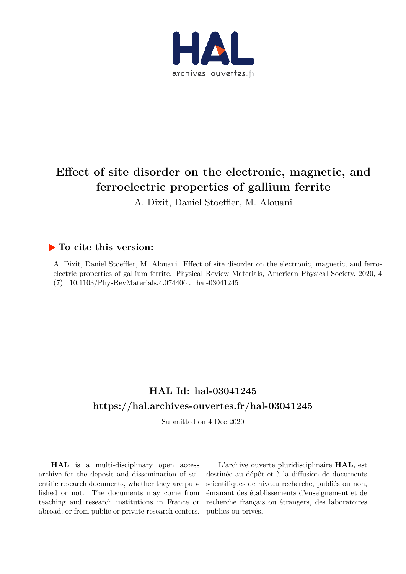

# **Effect of site disorder on the electronic, magnetic, and ferroelectric properties of gallium ferrite**

A. Dixit, Daniel Stoeffler, M. Alouani

## **To cite this version:**

A. Dixit, Daniel Stoeffler, M. Alouani. Effect of site disorder on the electronic, magnetic, and ferroelectric properties of gallium ferrite. Physical Review Materials, American Physical Society, 2020, 4 (7), 10.1103/PhysRevMaterials.4.074406. hal-03041245

# **HAL Id: hal-03041245 https://hal.archives-ouvertes.fr/hal-03041245**

Submitted on 4 Dec 2020

**HAL** is a multi-disciplinary open access archive for the deposit and dissemination of scientific research documents, whether they are published or not. The documents may come from teaching and research institutions in France or abroad, or from public or private research centers.

L'archive ouverte pluridisciplinaire **HAL**, est destinée au dépôt et à la diffusion de documents scientifiques de niveau recherche, publiés ou non, émanant des établissements d'enseignement et de recherche français ou étrangers, des laboratoires publics ou privés.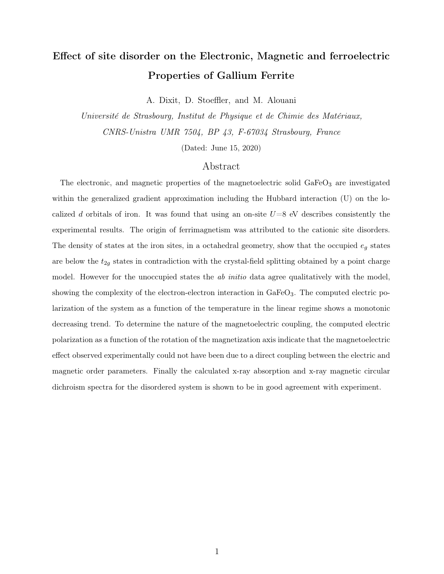# Effect of site disorder on the Electronic, Magnetic and ferroelectric Properties of Gallium Ferrite

A. Dixit, D. Stoeffler, and M. Alouani

Université de Strasbourg, Institut de Physique et de Chimie des Matériaux, CNRS-Unistra UMR 7504, BP 43, F-67034 Strasbourg, France

(Dated: June 15, 2020)

### Abstract

The electronic, and magnetic properties of the magnetoelectric solid  $GaFeO<sub>3</sub>$  are investigated within the generalized gradient approximation including the Hubbard interaction (U) on the localized d orbitals of iron. It was found that using an on-site  $U=8$  eV describes consistently the experimental results. The origin of ferrimagnetism was attributed to the cationic site disorders. The density of states at the iron sites, in a octahedral geometry, show that the occupied  $e_g$  states are below the  $t_{2g}$  states in contradiction with the crystal-field splitting obtained by a point charge model. However for the unoccupied states the *ab initio* data agree qualitatively with the model, showing the complexity of the electron-electron interaction in GaFeO<sub>3</sub>. The computed electric polarization of the system as a function of the temperature in the linear regime shows a monotonic decreasing trend. To determine the nature of the magnetoelectric coupling, the computed electric polarization as a function of the rotation of the magnetization axis indicate that the magnetoelectric effect observed experimentally could not have been due to a direct coupling between the electric and magnetic order parameters. Finally the calculated x-ray absorption and x-ray magnetic circular dichroism spectra for the disordered system is shown to be in good agreement with experiment.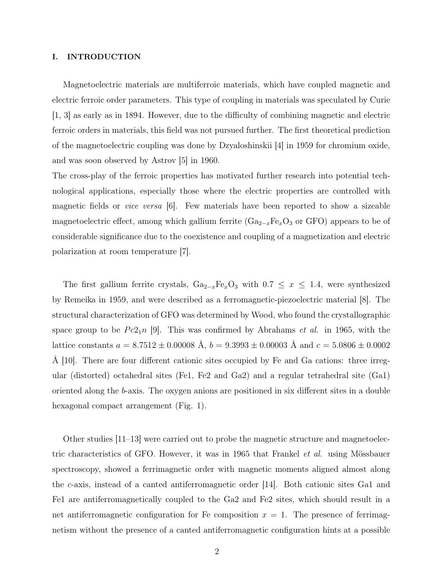#### I. INTRODUCTION

Magnetoelectric materials are multiferroic materials, which have coupled magnetic and electric ferroic order parameters. This type of coupling in materials was speculated by Curie [1, 3] as early as in 1894. However, due to the difficulty of combining magnetic and electric ferroic orders in materials, this field was not pursued further. The first theoretical prediction of the magnetoelectric coupling was done by Dzyaloshinskii [4] in 1959 for chromium oxide, and was soon observed by Astrov [5] in 1960.

The cross-play of the ferroic properties has motivated further research into potential technological applications, especially those where the electric properties are controlled with magnetic fields or *vice versa*  $|6|$ . Few materials have been reported to show a sizeable magnetoelectric effect, among which gallium ferrite  $(Ga_{2-x}Fe_xO_3)$  or GFO) appears to be of considerable significance due to the coexistence and coupling of a magnetization and electric polarization at room temperature [7].

The first gallium ferrite crystals,  $Ga_{2-x}Fe_xO_3$  with  $0.7 \leq x \leq 1.4$ , were synthesized by Remeika in 1959, and were described as a ferromagnetic-piezoelectric material [8]. The structural characterization of GFO was determined by Wood, who found the crystallographic space group to be  $Pc2_1n$  [9]. This was confirmed by Abrahams *et al.* in 1965, with the lattice constants  $a = 8.7512 \pm 0.00008$  Å,  $b = 9.3993 \pm 0.00003$  Å and  $c = 5.0806 \pm 0.0002$ Å [10]. There are four different cationic sites occupied by Fe and Ga cations: three irregular (distorted) octahedral sites (Fe1, Fe2 and Ga2) and a regular tetrahedral site (Ga1) oriented along the b-axis. The oxygen anions are positioned in six different sites in a double hexagonal compact arrangement (Fig. 1).

Other studies [11–13] were carried out to probe the magnetic structure and magnetoelectric characteristics of GFO. However, it was in 1965 that Frankel et al. using Mössbauer spectroscopy, showed a ferrimagnetic order with magnetic moments aligned almost along the c-axis, instead of a canted antiferromagnetic order [14]. Both cationic sites Ga1 and Fe1 are antiferromagnetically coupled to the Ga2 and Fe2 sites, which should result in a net antiferromagnetic configuration for Fe composition  $x = 1$ . The presence of ferrimagnetism without the presence of a canted antiferromagnetic configuration hints at a possible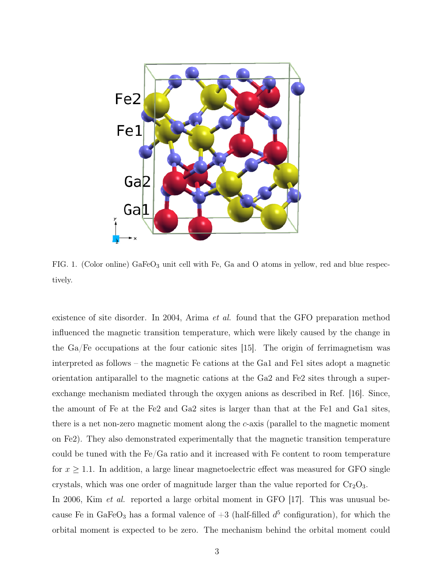

FIG. 1. (Color online) GaFeO<sub>3</sub> unit cell with Fe, Ga and O atoms in yellow, red and blue respectively.

existence of site disorder. In 2004, Arima *et al.* found that the GFO preparation method influenced the magnetic transition temperature, which were likely caused by the change in the Ga/Fe occupations at the four cationic sites [15]. The origin of ferrimagnetism was interpreted as follows – the magnetic Fe cations at the Ga1 and Fe1 sites adopt a magnetic orientation antiparallel to the magnetic cations at the Ga2 and Fe2 sites through a superexchange mechanism mediated through the oxygen anions as described in Ref. [16]. Since, the amount of Fe at the Fe2 and Ga2 sites is larger than that at the Fe1 and Ga1 sites, there is a net non-zero magnetic moment along the  $c$ -axis (parallel to the magnetic moment on Fe2). They also demonstrated experimentally that the magnetic transition temperature could be tuned with the Fe/Ga ratio and it increased with Fe content to room temperature for  $x \geq 1.1$ . In addition, a large linear magnetoelectric effect was measured for GFO single crystals, which was one order of magnitude larger than the value reported for  $Cr_2O_3$ . In 2006, Kim *et al.* reported a large orbital moment in GFO [17]. This was unusual because Fe in GaFeO<sub>3</sub> has a formal valence of  $+3$  (half-filled  $d^5$  configuration), for which the orbital moment is expected to be zero. The mechanism behind the orbital moment could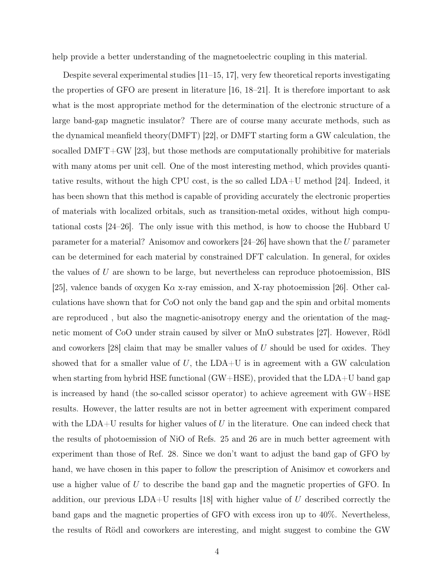help provide a better understanding of the magnetoelectric coupling in this material.

Despite several experimental studies [11–15, 17], very few theoretical reports investigating the properties of GFO are present in literature [16, 18–21]. It is therefore important to ask what is the most appropriate method for the determination of the electronic structure of a large band-gap magnetic insulator? There are of course many accurate methods, such as the dynamical meanfield theory(DMFT) [22], or DMFT starting form a GW calculation, the socalled DMFT+GW [23], but those methods are computationally prohibitive for materials with many atoms per unit cell. One of the most interesting method, which provides quantitative results, without the high CPU cost, is the so called LDA+U method [24]. Indeed, it has been shown that this method is capable of providing accurately the electronic properties of materials with localized orbitals, such as transition-metal oxides, without high computational costs [24–26]. The only issue with this method, is how to choose the Hubbard U parameter for a material? Anisomov and coworkers [24–26] have shown that the U parameter can be determined for each material by constrained DFT calculation. In general, for oxides the values of  $U$  are shown to be large, but nevertheless can reproduce photoemission, BIS [25], valence bands of oxygen K $\alpha$  x-ray emission, and X-ray photoemission [26]. Other calculations have shown that for CoO not only the band gap and the spin and orbital moments are reproduced , but also the magnetic-anisotropy energy and the orientation of the magnetic moment of CoO under strain caused by silver or MnO substrates [27]. However, Rödl and coworkers  $[28]$  claim that may be smaller values of U should be used for oxides. They showed that for a smaller value of  $U$ , the LDA+U is in agreement with a GW calculation when starting from hybrid HSE functional  $(GW+HSE)$ , provided that the LDA+U band gap is increased by hand (the so-called scissor operator) to achieve agreement with GW+HSE results. However, the latter results are not in better agreement with experiment compared with the LDA+U results for higher values of U in the literature. One can indeed check that the results of photoemission of NiO of Refs. 25 and 26 are in much better agreement with experiment than those of Ref. 28. Since we don't want to adjust the band gap of GFO by hand, we have chosen in this paper to follow the prescription of Anisimov et coworkers and use a higher value of  $U$  to describe the band gap and the magnetic properties of GFO. In addition, our previous LDA+U results [18] with higher value of U described correctly the band gaps and the magnetic properties of GFO with excess iron up to 40%. Nevertheless, the results of Rödl and coworkers are interesting, and might suggest to combine the GW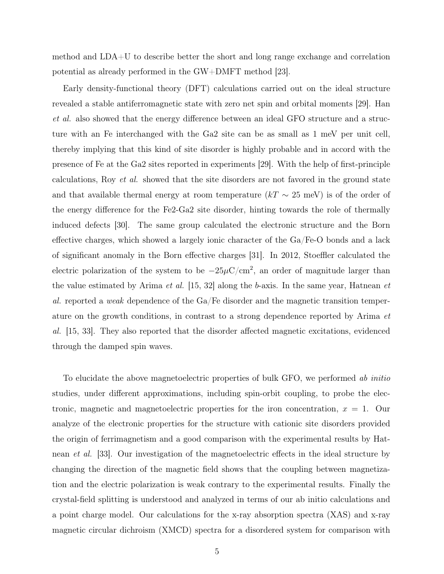method and LDA+U to describe better the short and long range exchange and correlation potential as already performed in the GW+DMFT method [23].

Early density-functional theory (DFT) calculations carried out on the ideal structure revealed a stable antiferromagnetic state with zero net spin and orbital moments [29]. Han et al. also showed that the energy difference between an ideal GFO structure and a structure with an Fe interchanged with the Ga2 site can be as small as 1 meV per unit cell, thereby implying that this kind of site disorder is highly probable and in accord with the presence of Fe at the Ga2 sites reported in experiments [29]. With the help of first-principle calculations, Roy et al. showed that the site disorders are not favored in the ground state and that available thermal energy at room temperature  $(kT \sim 25 \text{ meV})$  is of the order of the energy difference for the Fe2-Ga2 site disorder, hinting towards the role of thermally induced defects [30]. The same group calculated the electronic structure and the Born effective charges, which showed a largely ionic character of the Ga/Fe-O bonds and a lack of significant anomaly in the Born effective charges [31]. In 2012, Stoeffler calculated the electric polarization of the system to be  $-25\mu$ C/cm<sup>2</sup>, an order of magnitude larger than the value estimated by Arima *et al.* [15, 32] along the b-axis. In the same year, Hatnean *et* al. reported a weak dependence of the Ga/Fe disorder and the magnetic transition temperature on the growth conditions, in contrast to a strong dependence reported by Arima et al. [15, 33]. They also reported that the disorder affected magnetic excitations, evidenced through the damped spin waves.

To elucidate the above magnetoelectric properties of bulk GFO, we performed ab initio studies, under different approximations, including spin-orbit coupling, to probe the electronic, magnetic and magnetoelectric properties for the iron concentration,  $x = 1$ . Our analyze of the electronic properties for the structure with cationic site disorders provided the origin of ferrimagnetism and a good comparison with the experimental results by Hatnean et al. [33]. Our investigation of the magnetoelectric effects in the ideal structure by changing the direction of the magnetic field shows that the coupling between magnetization and the electric polarization is weak contrary to the experimental results. Finally the crystal-field splitting is understood and analyzed in terms of our ab initio calculations and a point charge model. Our calculations for the x-ray absorption spectra (XAS) and x-ray magnetic circular dichroism (XMCD) spectra for a disordered system for comparison with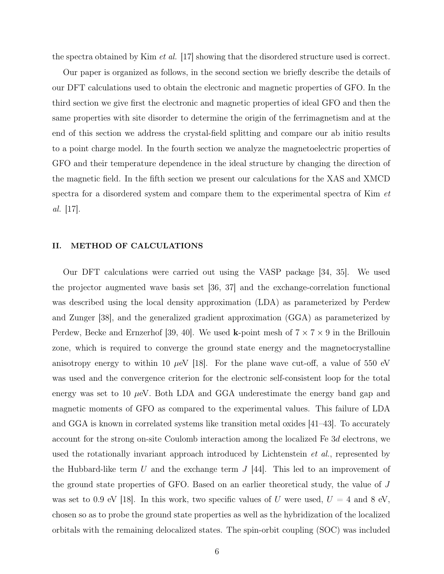the spectra obtained by Kim *et al.* [17] showing that the disordered structure used is correct.

Our paper is organized as follows, in the second section we briefly describe the details of our DFT calculations used to obtain the electronic and magnetic properties of GFO. In the third section we give first the electronic and magnetic properties of ideal GFO and then the same properties with site disorder to determine the origin of the ferrimagnetism and at the end of this section we address the crystal-field splitting and compare our ab initio results to a point charge model. In the fourth section we analyze the magnetoelectric properties of GFO and their temperature dependence in the ideal structure by changing the direction of the magnetic field. In the fifth section we present our calculations for the XAS and XMCD spectra for a disordered system and compare them to the experimental spectra of Kim *et* al. [17].

#### II. METHOD OF CALCULATIONS

Our DFT calculations were carried out using the VASP package [34, 35]. We used the projector augmented wave basis set [36, 37] and the exchange-correlation functional was described using the local density approximation (LDA) as parameterized by Perdew and Zunger [38], and the generalized gradient approximation (GGA) as parameterized by Perdew, Becke and Ernzerhof [39, 40]. We used **k**-point mesh of  $7 \times 7 \times 9$  in the Brillouin zone, which is required to converge the ground state energy and the magnetocrystalline anisotropy energy to within 10  $\mu$ eV [18]. For the plane wave cut-off, a value of 550 eV was used and the convergence criterion for the electronic self-consistent loop for the total energy was set to 10  $\mu$ eV. Both LDA and GGA underestimate the energy band gap and magnetic moments of GFO as compared to the experimental values. This failure of LDA and GGA is known in correlated systems like transition metal oxides [41–43]. To accurately account for the strong on-site Coulomb interaction among the localized Fe 3d electrons, we used the rotationally invariant approach introduced by Lichtenstein *et al.*, represented by the Hubbard-like term U and the exchange term  $J$  [44]. This led to an improvement of the ground state properties of GFO. Based on an earlier theoretical study, the value of J was set to 0.9 eV [18]. In this work, two specific values of U were used,  $U = 4$  and 8 eV, chosen so as to probe the ground state properties as well as the hybridization of the localized orbitals with the remaining delocalized states. The spin-orbit coupling (SOC) was included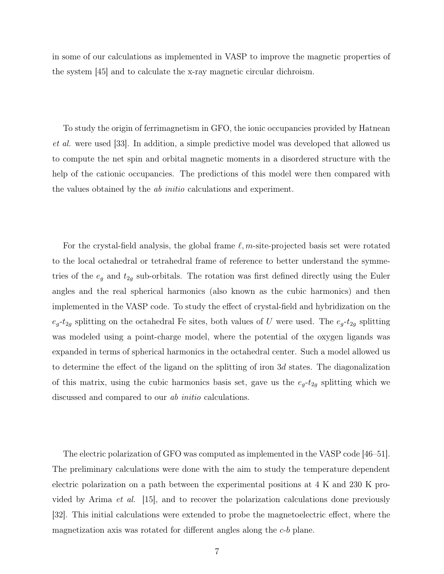in some of our calculations as implemented in VASP to improve the magnetic properties of the system [45] and to calculate the x-ray magnetic circular dichroism.

To study the origin of ferrimagnetism in GFO, the ionic occupancies provided by Hatnean et al. were used [33]. In addition, a simple predictive model was developed that allowed us to compute the net spin and orbital magnetic moments in a disordered structure with the help of the cationic occupancies. The predictions of this model were then compared with the values obtained by the ab initio calculations and experiment.

For the crystal-field analysis, the global frame  $\ell, m$ -site-projected basis set were rotated to the local octahedral or tetrahedral frame of reference to better understand the symmetries of the  $e_g$  and  $t_{2g}$  sub-orbitals. The rotation was first defined directly using the Euler angles and the real spherical harmonics (also known as the cubic harmonics) and then implemented in the VASP code. To study the effect of crystal-field and hybridization on the  $e_g-t_{2g}$  splitting on the octahedral Fe sites, both values of U were used. The  $e_g-t_{2g}$  splitting was modeled using a point-charge model, where the potential of the oxygen ligands was expanded in terms of spherical harmonics in the octahedral center. Such a model allowed us to determine the effect of the ligand on the splitting of iron 3d states. The diagonalization of this matrix, using the cubic harmonics basis set, gave us the  $e_g-t_{2g}$  splitting which we discussed and compared to our *ab initio* calculations.

The electric polarization of GFO was computed as implemented in the VASP code [46–51]. The preliminary calculations were done with the aim to study the temperature dependent electric polarization on a path between the experimental positions at 4 K and 230 K provided by Arima et al. [15], and to recover the polarization calculations done previously [32]. This initial calculations were extended to probe the magnetoelectric effect, where the magnetization axis was rotated for different angles along the c-b plane.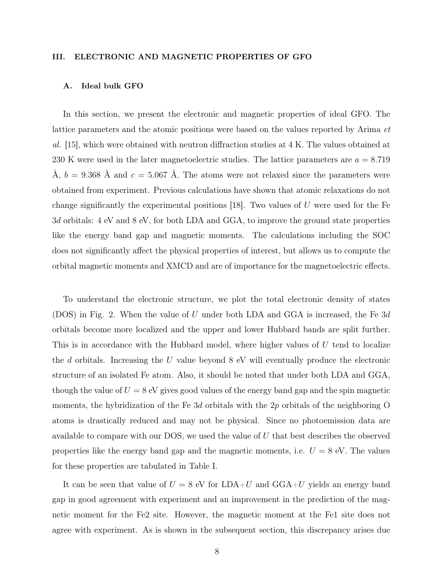#### III. ELECTRONIC AND MAGNETIC PROPERTIES OF GFO

#### A. Ideal bulk GFO

In this section, we present the electronic and magnetic properties of ideal GFO. The lattice parameters and the atomic positions were based on the values reported by Arima et al. [15], which were obtained with neutron diffraction studies at 4 K. The values obtained at 230 K were used in the later magnetoelectric studies. The lattice parameters are  $a = 8.719$ Å,  $b = 9.368$  Å and  $c = 5.067$  Å. The atoms were not relaxed since the parameters were obtained from experiment. Previous calculations have shown that atomic relaxations do not change significantly the experimental positions [18]. Two values of  $U$  were used for the Fe 3d orbitals: 4 eV and 8 eV, for both LDA and GGA, to improve the ground state properties like the energy band gap and magnetic moments. The calculations including the SOC does not significantly affect the physical properties of interest, but allows us to compute the orbital magnetic moments and XMCD and are of importance for the magnetoelectric effects.

To understand the electronic structure, we plot the total electronic density of states (DOS) in Fig. 2. When the value of U under both LDA and GGA is increased, the Fe  $3d$ orbitals become more localized and the upper and lower Hubbard bands are split further. This is in accordance with the Hubbard model, where higher values of U tend to localize the  $d$  orbitals. Increasing the  $U$  value beyond  $8$  eV will eventually produce the electronic structure of an isolated Fe atom. Also, it should be noted that under both LDA and GGA, though the value of  $U = 8$  eV gives good values of the energy band gap and the spin magnetic moments, the hybridization of the Fe 3d orbitals with the 2p orbitals of the neighboring O atoms is drastically reduced and may not be physical. Since no photoemission data are available to compare with our DOS, we used the value of U that best describes the observed properties like the energy band gap and the magnetic moments, i.e.  $U = 8$  eV. The values for these properties are tabulated in Table I.

It can be seen that value of  $U = 8$  eV for LDA+U and GGA+U yields an energy band gap in good agreement with experiment and an improvement in the prediction of the magnetic moment for the Fe2 site. However, the magnetic moment at the Fe1 site does not agree with experiment. As is shown in the subsequent section, this discrepancy arises due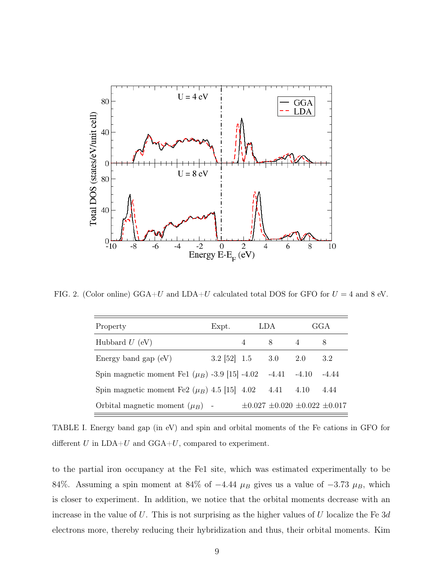

FIG. 2. (Color online) GGA+U and LDA+U calculated total DOS for GFO for  $U = 4$  and 8 eV.

| Property                                           | Expt.                  | LDA                                       |      | GGA     |
|----------------------------------------------------|------------------------|-------------------------------------------|------|---------|
| Hubbard $U$ (eV)                                   |                        | 8                                         |      | 8       |
| Energy band gap $(eV)$                             | $3.2$ [52] $1.5$ $3.0$ |                                           | 2.0  | 3.2     |
| Spin magnetic moment Fe1 $(\mu_B)$ -3.9 [15] -4.02 |                        | $-4.41 - 4.10$                            |      | $-4.44$ |
| Spin magnetic moment Fe2 $(\mu_B)$ 4.5 [15] 4.02   |                        | 4.41                                      | 4.10 | 4.44    |
| Orbital magnetic moment $(\mu_B)$ -                |                        | $\pm 0.027 \pm 0.020 \pm 0.022 \pm 0.017$ |      |         |

TABLE I. Energy band gap (in eV) and spin and orbital moments of the Fe cations in GFO for different  $U$  in  $LDA+U$  and  $GGA+U$ , compared to experiment.

to the partial iron occupancy at the Fe1 site, which was estimated experimentally to be 84%. Assuming a spin moment at 84% of  $-4.44 \mu_B$  gives us a value of  $-3.73 \mu_B$ , which is closer to experiment. In addition, we notice that the orbital moments decrease with an increase in the value of U. This is not surprising as the higher values of U localize the Fe  $3d$ electrons more, thereby reducing their hybridization and thus, their orbital moments. Kim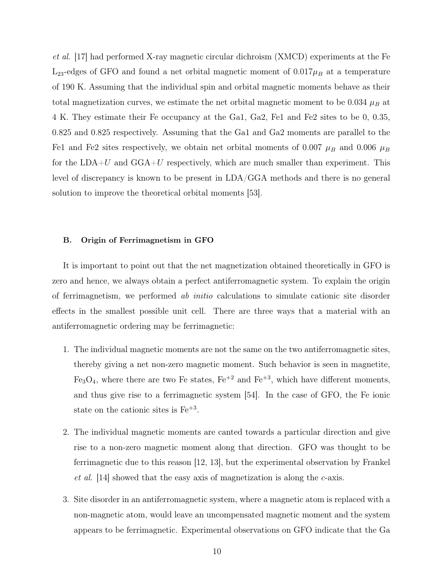et al. [17] had performed X-ray magnetic circular dichroism (XMCD) experiments at the Fe  $L_{23}$ -edges of GFO and found a net orbital magnetic moment of  $0.017\mu_B$  at a temperature of 190 K. Assuming that the individual spin and orbital magnetic moments behave as their total magnetization curves, we estimate the net orbital magnetic moment to be  $0.034 \mu_B$  at 4 K. They estimate their Fe occupancy at the Ga1, Ga2, Fe1 and Fe2 sites to be 0, 0.35, 0.825 and 0.825 respectively. Assuming that the Ga1 and Ga2 moments are parallel to the Fe1 and Fe2 sites respectively, we obtain net orbital moments of 0.007  $\mu_B$  and 0.006  $\mu_B$ for the  $LDA+U$  and  $GGA+U$  respectively, which are much smaller than experiment. This level of discrepancy is known to be present in LDA/GGA methods and there is no general solution to improve the theoretical orbital moments [53].

### B. Origin of Ferrimagnetism in GFO

It is important to point out that the net magnetization obtained theoretically in GFO is zero and hence, we always obtain a perfect antiferromagnetic system. To explain the origin of ferrimagnetism, we performed ab initio calculations to simulate cationic site disorder effects in the smallest possible unit cell. There are three ways that a material with an antiferromagnetic ordering may be ferrimagnetic:

- 1. The individual magnetic moments are not the same on the two antiferromagnetic sites, thereby giving a net non-zero magnetic moment. Such behavior is seen in magnetite,  $Fe<sub>3</sub>O<sub>4</sub>$ , where there are two Fe states,  $Fe<sup>+2</sup>$  and  $Fe<sup>+3</sup>$ , which have different moments, and thus give rise to a ferrimagnetic system [54]. In the case of GFO, the Fe ionic state on the cationic sites is  $Fe^{+3}$ .
- 2. The individual magnetic moments are canted towards a particular direction and give rise to a non-zero magnetic moment along that direction. GFO was thought to be ferrimagnetic due to this reason [12, 13], but the experimental observation by Frankel et al. [14] showed that the easy axis of magnetization is along the c-axis.
- 3. Site disorder in an antiferromagnetic system, where a magnetic atom is replaced with a non-magnetic atom, would leave an uncompensated magnetic moment and the system appears to be ferrimagnetic. Experimental observations on GFO indicate that the Ga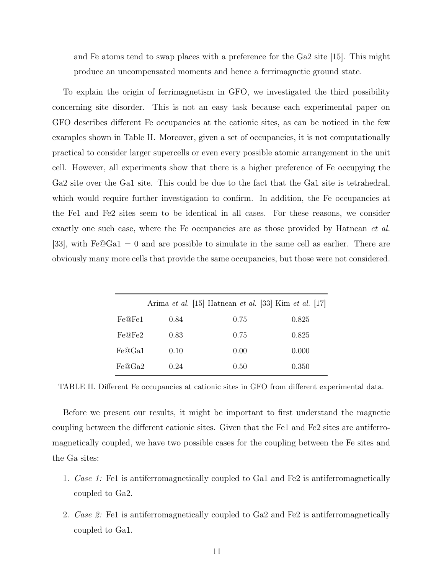and Fe atoms tend to swap places with a preference for the Ga2 site [15]. This might produce an uncompensated moments and hence a ferrimagnetic ground state.

To explain the origin of ferrimagnetism in GFO, we investigated the third possibility concerning site disorder. This is not an easy task because each experimental paper on GFO describes different Fe occupancies at the cationic sites, as can be noticed in the few examples shown in Table II. Moreover, given a set of occupancies, it is not computationally practical to consider larger supercells or even every possible atomic arrangement in the unit cell. However, all experiments show that there is a higher preference of Fe occupying the Ga2 site over the Ga1 site. This could be due to the fact that the Ga1 site is tetrahedral, which would require further investigation to confirm. In addition, the Fe occupancies at the Fe1 and Fe2 sites seem to be identical in all cases. For these reasons, we consider exactly one such case, where the Fe occupancies are as those provided by Hatnean *et al.* [33], with  $Fe@Ga1 = 0$  and are possible to simulate in the same cell as earlier. There are obviously many more cells that provide the same occupancies, but those were not considered.

|        |      | Arima et al. [15] Hatnean et al. [33] Kim et al. [17] |       |
|--------|------|-------------------------------------------------------|-------|
| Fe@Fe1 | 0.84 | 0.75                                                  | 0.825 |
| Fe@Fe2 | 0.83 | 0.75                                                  | 0.825 |
| Fe@Ga1 | 0.10 | 0.00                                                  | 0.000 |
| Fe@Ga2 | 0.24 | 0.50                                                  | 0.350 |

TABLE II. Different Fe occupancies at cationic sites in GFO from different experimental data.

Before we present our results, it might be important to first understand the magnetic coupling between the different cationic sites. Given that the Fe1 and Fe2 sites are antiferromagnetically coupled, we have two possible cases for the coupling between the Fe sites and the Ga sites:

- 1. Case 1: Fe1 is antiferromagnetically coupled to Ga1 and Fe2 is antiferromagnetically coupled to Ga2.
- 2. Case 2: Fe1 is antiferromagnetically coupled to Ga2 and Fe2 is antiferromagnetically coupled to Ga1.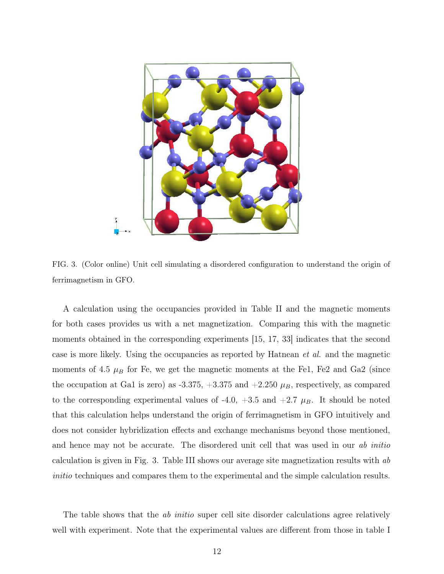

FIG. 3. (Color online) Unit cell simulating a disordered configuration to understand the origin of ferrimagnetism in GFO.

A calculation using the occupancies provided in Table II and the magnetic moments for both cases provides us with a net magnetization. Comparing this with the magnetic moments obtained in the corresponding experiments [15, 17, 33] indicates that the second case is more likely. Using the occupancies as reported by Hatnean et al. and the magnetic moments of 4.5  $\mu$ B for Fe, we get the magnetic moments at the Fe1, Fe2 and Ga2 (since the occupation at Ga1 is zero) as -3.375,  $+3.375$  and  $+2.250 \mu_B$ , respectively, as compared to the corresponding experimental values of -4.0,  $+3.5$  and  $+2.7$   $\mu$ B. It should be noted that this calculation helps understand the origin of ferrimagnetism in GFO intuitively and does not consider hybridization effects and exchange mechanisms beyond those mentioned, and hence may not be accurate. The disordered unit cell that was used in our *ab initio* calculation is given in Fig. 3. Table III shows our average site magnetization results with ab initio techniques and compares them to the experimental and the simple calculation results.

The table shows that the *ab initio* super cell site disorder calculations agree relatively well with experiment. Note that the experimental values are different from those in table I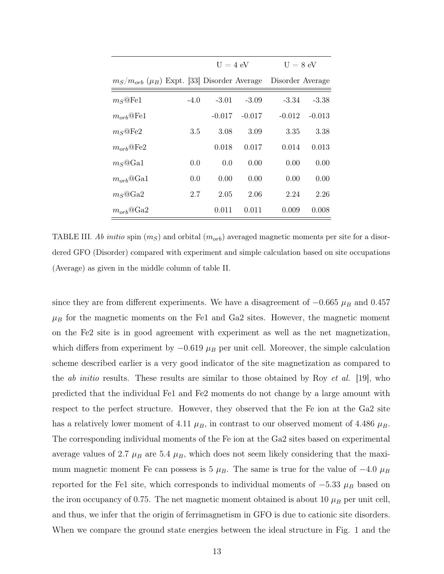|                                                       |        | $U = 4$ eV |          | $U = 8$ eV       |          |
|-------------------------------------------------------|--------|------------|----------|------------------|----------|
| $m_S/m_{orb}$ ( $\mu_B$ ) Expt. [33] Disorder Average |        |            |          | Disorder Average |          |
| $m_S@Fe1$                                             | $-4.0$ | $-3.01$    | $-3.09$  | $-3.34$          | $-3.38$  |
| $m_{orb}$ @Fe1                                        |        | $-0.017$   | $-0.017$ | $-0.012$         | $-0.013$ |
| $m_S@Fe2$                                             | 3.5    | 3.08       | 3.09     | 3.35             | 3.38     |
| $m_{orb}$ @Fe2                                        |        | 0.018      | 0.017    | 0.014            | 0.013    |
| $m_S@Ga1$                                             | 0.0    | 0.0        | 0.00     | 0.00             | 0.00     |
| $m_{orb}$ <sup>@</sup> Ga1                            | 0.0    | 0.00       | 0.00     | 0.00             | 0.00     |
| $m_S@Ga2$                                             | 2.7    | 2.05       | 2.06     | 2.24             | 2.26     |
| $m_{orb}$ @Ga2                                        |        | 0.011      | 0.011    | 0.009            | 0.008    |

TABLE III. *Ab initio* spin  $(m_S)$  and orbital  $(m_{orb})$  averaged magnetic moments per site for a disordered GFO (Disorder) compared with experiment and simple calculation based on site occupations (Average) as given in the middle column of table II.

since they are from different experiments. We have a disagreement of  $-0.665 \mu_B$  and 0.457  $\mu_B$  for the magnetic moments on the Fe1 and Ga2 sites. However, the magnetic moment on the Fe2 site is in good agreement with experiment as well as the net magnetization, which differs from experiment by  $-0.619 \mu_B$  per unit cell. Moreover, the simple calculation scheme described earlier is a very good indicator of the site magnetization as compared to the *ab initio* results. These results are similar to those obtained by Roy *et al.* [19], who predicted that the individual Fe1 and Fe2 moments do not change by a large amount with respect to the perfect structure. However, they observed that the Fe ion at the Ga2 site has a relatively lower moment of 4.11  $\mu_B$ , in contrast to our observed moment of 4.486  $\mu_B$ . The corresponding individual moments of the Fe ion at the Ga2 sites based on experimental average values of 2.7  $\mu_B$  are 5.4  $\mu_B$ , which does not seem likely considering that the maximum magnetic moment Fe can possess is 5  $\mu_B$ . The same is true for the value of  $-4.0 \mu_B$ reported for the Fe1 site, which corresponds to individual moments of  $-5.33 \mu_B$  based on the iron occupancy of 0.75. The net magnetic moment obtained is about 10  $\mu_B$  per unit cell, and thus, we infer that the origin of ferrimagnetism in GFO is due to cationic site disorders. When we compare the ground state energies between the ideal structure in Fig. 1 and the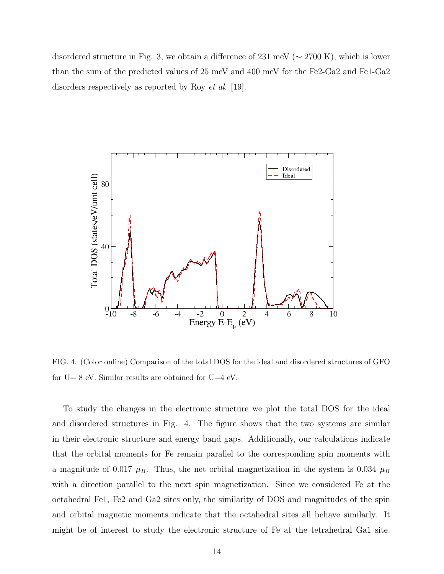disordered structure in Fig. 3, we obtain a difference of 231 meV ( $\sim$  2700 K), which is lower than the sum of the predicted values of 25 meV and 400 meV for the Fe2-Ga2 and Fe1-Ga2 disorders respectively as reported by Roy *et al.* [19].



FIG. 4. (Color online) Comparison of the total DOS for the ideal and disordered structures of GFO for  $U=8$  eV. Similar results are obtained for  $U=4$  eV.

To study the changes in the electronic structure we plot the total DOS for the ideal and disordered structures in Fig. 4. The figure shows that the two systems are similar in their electronic structure and energy band gaps. Additionally, our calculations indicate that the orbital moments for Fe remain parallel to the corresponding spin moments with a magnitude of 0.017  $\mu_B$ . Thus, the net orbital magnetization in the system is 0.034  $\mu_B$ with a direction parallel to the next spin magnetization. Since we considered Fe at the octahedral Fe1, Fe2 and Ga2 sites only, the similarity of DOS and magnitudes of the spin and orbital magnetic moments indicate that the octahedral sites all behave similarly. It might be of interest to study the electronic structure of Fe at the tetrahedral Ga1 site.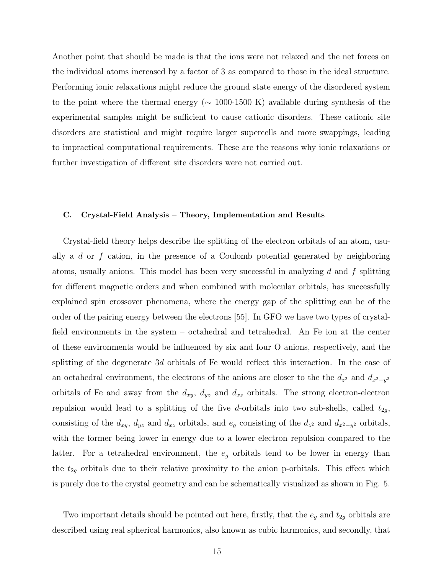Another point that should be made is that the ions were not relaxed and the net forces on the individual atoms increased by a factor of 3 as compared to those in the ideal structure. Performing ionic relaxations might reduce the ground state energy of the disordered system to the point where the thermal energy (∼ 1000-1500 K) available during synthesis of the experimental samples might be sufficient to cause cationic disorders. These cationic site disorders are statistical and might require larger supercells and more swappings, leading to impractical computational requirements. These are the reasons why ionic relaxations or further investigation of different site disorders were not carried out.

### C. Crystal-Field Analysis – Theory, Implementation and Results

Crystal-field theory helps describe the splitting of the electron orbitals of an atom, usually a  $d$  or  $f$  cation, in the presence of a Coulomb potential generated by neighboring atoms, usually anions. This model has been very successful in analyzing  $d$  and  $f$  splitting for different magnetic orders and when combined with molecular orbitals, has successfully explained spin crossover phenomena, where the energy gap of the splitting can be of the order of the pairing energy between the electrons [55]. In GFO we have two types of crystalfield environments in the system – octahedral and tetrahedral. An Fe ion at the center of these environments would be influenced by six and four O anions, respectively, and the splitting of the degenerate 3d orbitals of Fe would reflect this interaction. In the case of an octahedral environment, the electrons of the anions are closer to the the  $d_{z^2}$  and  $d_{x^2-y^2}$ orbitals of Fe and away from the  $d_{xy}$ ,  $d_{yz}$  and  $d_{xz}$  orbitals. The strong electron-electron repulsion would lead to a splitting of the five d-orbitals into two sub-shells, called  $t_{2q}$ , consisting of the  $d_{xy}$ ,  $d_{yz}$  and  $d_{xz}$  orbitals, and  $e_g$  consisting of the  $d_{z^2}$  and  $d_{x^2-y^2}$  orbitals, with the former being lower in energy due to a lower electron repulsion compared to the latter. For a tetrahedral environment, the  $e<sub>g</sub>$  orbitals tend to be lower in energy than the  $t_{2g}$  orbitals due to their relative proximity to the anion p-orbitals. This effect which is purely due to the crystal geometry and can be schematically visualized as shown in Fig. 5.

Two important details should be pointed out here, firstly, that the  $e_g$  and  $t_{2g}$  orbitals are described using real spherical harmonics, also known as cubic harmonics, and secondly, that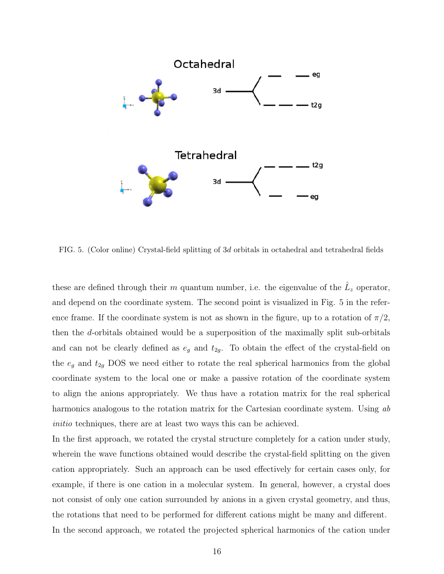

FIG. 5. (Color online) Crystal-field splitting of 3d orbitals in octahedral and tetrahedral fields

these are defined through their m quantum number, i.e. the eigenvalue of the  $\hat{L}_z$  operator, and depend on the coordinate system. The second point is visualized in Fig. 5 in the reference frame. If the coordinate system is not as shown in the figure, up to a rotation of  $\pi/2$ , then the d-orbitals obtained would be a superposition of the maximally split sub-orbitals and can not be clearly defined as  $e_g$  and  $t_{2g}$ . To obtain the effect of the crystal-field on the  $e_g$  and  $t_{2g}$  DOS we need either to rotate the real spherical harmonics from the global coordinate system to the local one or make a passive rotation of the coordinate system to align the anions appropriately. We thus have a rotation matrix for the real spherical harmonics analogous to the rotation matrix for the Cartesian coordinate system. Using ab initio techniques, there are at least two ways this can be achieved.

In the first approach, we rotated the crystal structure completely for a cation under study, wherein the wave functions obtained would describe the crystal-field splitting on the given cation appropriately. Such an approach can be used effectively for certain cases only, for example, if there is one cation in a molecular system. In general, however, a crystal does not consist of only one cation surrounded by anions in a given crystal geometry, and thus, the rotations that need to be performed for different cations might be many and different. In the second approach, we rotated the projected spherical harmonics of the cation under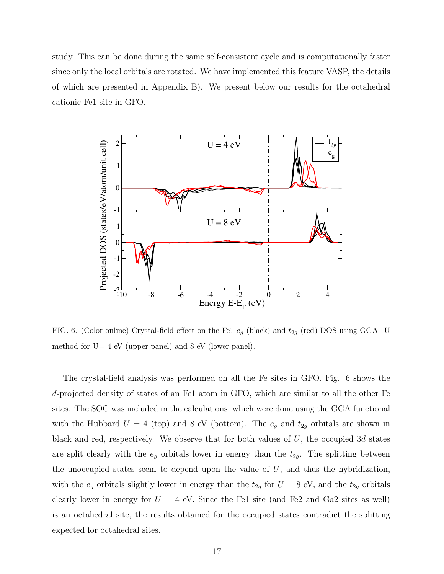study. This can be done during the same self-consistent cycle and is computationally faster since only the local orbitals are rotated. We have implemented this feature VASP, the details of which are presented in Appendix B). We present below our results for the octahedral cationic Fe1 site in GFO.



FIG. 6. (Color online) Crystal-field effect on the Fe1  $e_g$  (black) and  $t_{2g}$  (red) DOS using GGA+U method for  $U=4$  eV (upper panel) and 8 eV (lower panel).

The crystal-field analysis was performed on all the Fe sites in GFO. Fig. 6 shows the d-projected density of states of an Fe1 atom in GFO, which are similar to all the other Fe sites. The SOC was included in the calculations, which were done using the GGA functional with the Hubbard  $U = 4$  (top) and 8 eV (bottom). The  $e_g$  and  $t_{2g}$  orbitals are shown in black and red, respectively. We observe that for both values of U, the occupied 3d states are split clearly with the  $e_g$  orbitals lower in energy than the  $t_{2g}$ . The splitting between the unoccupied states seem to depend upon the value of  $U$ , and thus the hybridization, with the  $e_g$  orbitals slightly lower in energy than the  $t_{2g}$  for  $U = 8$  eV, and the  $t_{2g}$  orbitals clearly lower in energy for  $U = 4$  eV. Since the Fe1 site (and Fe2 and Ga2 sites as well) is an octahedral site, the results obtained for the occupied states contradict the splitting expected for octahedral sites.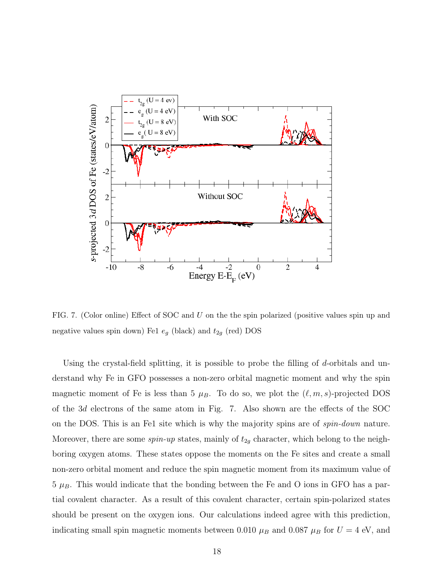

FIG. 7. (Color online) Effect of SOC and U on the the spin polarized (positive values spin up and negative values spin down) Fe1  $e_g$  (black) and  $t_{2g}$  (red) DOS

Using the crystal-field splitting, it is possible to probe the filling of d-orbitals and understand why Fe in GFO possesses a non-zero orbital magnetic moment and why the spin magnetic moment of Fe is less than 5  $\mu_B$ . To do so, we plot the  $(\ell, m, s)$ -projected DOS of the 3d electrons of the same atom in Fig. 7. Also shown are the effects of the SOC on the DOS. This is an Fe1 site which is why the majority spins are of spin-down nature. Moreover, there are some  $spin-up$  states, mainly of  $t_{2g}$  character, which belong to the neighboring oxygen atoms. These states oppose the moments on the Fe sites and create a small non-zero orbital moment and reduce the spin magnetic moment from its maximum value of  $5 \mu_B$ . This would indicate that the bonding between the Fe and O ions in GFO has a partial covalent character. As a result of this covalent character, certain spin-polarized states should be present on the oxygen ions. Our calculations indeed agree with this prediction, indicating small spin magnetic moments between 0.010  $\mu_B$  and 0.087  $\mu_B$  for  $U = 4$  eV, and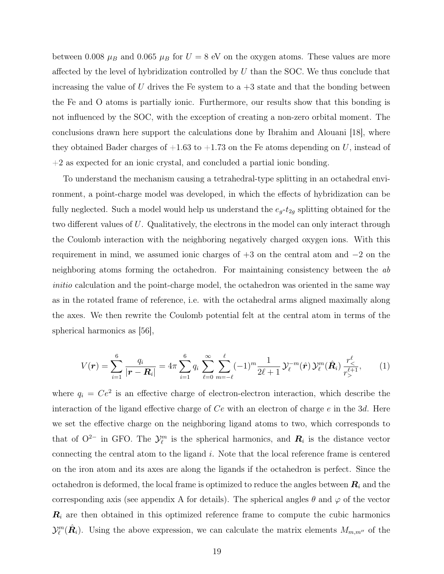between 0.008  $\mu_B$  and 0.065  $\mu_B$  for  $U = 8$  eV on the oxygen atoms. These values are more affected by the level of hybridization controlled by  $U$  than the SOC. We thus conclude that increasing the value of U drives the Fe system to a  $+3$  state and that the bonding between the Fe and O atoms is partially ionic. Furthermore, our results show that this bonding is not influenced by the SOC, with the exception of creating a non-zero orbital moment. The conclusions drawn here support the calculations done by Ibrahim and Alouani [18], where they obtained Bader charges of  $+1.63$  to  $+1.73$  on the Fe atoms depending on U, instead of +2 as expected for an ionic crystal, and concluded a partial ionic bonding.

To understand the mechanism causing a tetrahedral-type splitting in an octahedral environment, a point-charge model was developed, in which the effects of hybridization can be fully neglected. Such a model would help us understand the  $e_g-t_{2g}$  splitting obtained for the two different values of U. Qualitatively, the electrons in the model can only interact through the Coulomb interaction with the neighboring negatively charged oxygen ions. With this requirement in mind, we assumed ionic charges of +3 on the central atom and −2 on the neighboring atoms forming the octahedron. For maintaining consistency between the ab initio calculation and the point-charge model, the octahedron was oriented in the same way as in the rotated frame of reference, i.e. with the octahedral arms aligned maximally along the axes. We then rewrite the Coulomb potential felt at the central atom in terms of the spherical harmonics as [56],

$$
V(\mathbf{r}) = \sum_{i=1}^{6} \frac{q_i}{|\mathbf{r} - \mathbf{R}_i|} = 4\pi \sum_{i=1}^{6} q_i \sum_{\ell=0}^{\infty} \sum_{m=-\ell}^{\ell} (-1)^m \frac{1}{2\ell+1} \mathcal{Y}_{\ell}^{-m}(\hat{\mathbf{r}}) \mathcal{Y}_{\ell}^{m}(\hat{\mathbf{R}}_i) \frac{r_{\leq}^{\ell}}{r_{>}^{\ell+1}},
$$
(1)

where  $q_i = Ce^2$  is an effective charge of electron-electron interaction, which describe the interaction of the ligand effective charge of Ce with an electron of charge e in the 3d. Here we set the effective charge on the neighboring ligand atoms to two, which corresponds to that of  $O^{2-}$  in GFO. The  $\mathcal{Y}_{\ell}^m$  is the spherical harmonics, and  $\mathbf{R}_i$  is the distance vector connecting the central atom to the ligand i. Note that the local reference frame is centered on the iron atom and its axes are along the ligands if the octahedron is perfect. Since the octahedron is deformed, the local frame is optimized to reduce the angles between  $R_i$  and the corresponding axis (see appendix A for details). The spherical angles  $\theta$  and  $\varphi$  of the vector  $\mathbf{R}_i$  are then obtained in this optimized reference frame to compute the cubic harmonics  $\mathcal{Y}_{\ell}^{m}(\hat{\mathbf{R}}_{i})$ . Using the above expression, we can calculate the matrix elements  $M_{m,m''}$  of the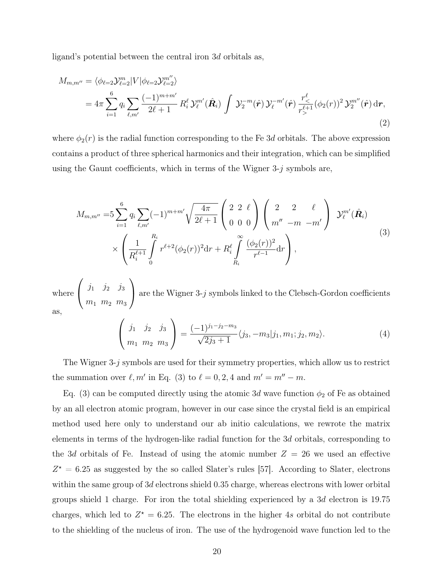ligand's potential between the central iron 3d orbitals as,

$$
M_{m,m''} = \langle \phi_{\ell=2} \mathcal{Y}_{\ell=2}^{m} | V | \phi_{\ell=2} \mathcal{Y}_{\ell=2}^{m''} \rangle
$$
  
=  $4\pi \sum_{i=1}^{6} q_i \sum_{\ell,m'} \frac{(-1)^{m+m'}}{2\ell+1} R_i^{\ell} \mathcal{Y}_{\ell}^{m'}(\hat{\mathbf{R}}_i) \int \mathcal{Y}_2^{-m}(\hat{\mathbf{r}}) \mathcal{Y}_{\ell}^{-m'}(\hat{\mathbf{r}}) \frac{r_{\leq}^{\ell}}{r_{>}^{\ell+1}} (\phi_2(r))^2 \mathcal{Y}_2^{m''}(\hat{\mathbf{r}}) d\mathbf{r},$   
(2)

where  $\phi_2(r)$  is the radial function corresponding to the Fe 3d orbitals. The above expression contains a product of three spherical harmonics and their integration, which can be simplified using the Gaunt coefficients, which in terms of the Wigner  $3-i$  symbols are,

$$
M_{m,m''} = 5 \sum_{i=1}^{6} q_i \sum_{\ell,m'} (-1)^{m+m'} \sqrt{\frac{4\pi}{2\ell+1}} \begin{pmatrix} 2 & 2 & \ell \\ 0 & 0 & 0 \end{pmatrix} \begin{pmatrix} 2 & 2 & \ell \\ m'' & -m & -m' \end{pmatrix} \mathcal{Y}_{\ell}^{m'}(\hat{\mathbf{R}}_i)
$$
  
 
$$
\times \left( \frac{1}{R_i^{\ell+1}} \int_{0}^{R_i} r^{\ell+2} (\phi_2(r))^2 dr + R_i^{\ell} \int_{R_i}^{\infty} \frac{(\phi_2(r))^2}{r^{\ell-1}} dr \right), \qquad (3)
$$

where  $\sqrt{ }$  $\overline{1}$  $j_1$   $j_2$   $j_3$  $m_1$   $m_2$   $m_3$  $\setminus$ are the Wigner 3- $j$  symbols linked to the Clebsch-Gordon coefficients as,

$$
\begin{pmatrix} j_1 & j_2 & j_3 \ m_1 & m_2 & m_3 \end{pmatrix} = \frac{(-1)^{j_1 - j_2 - m_3}}{\sqrt{2j_3 + 1}} \langle j_3, -m_3 | j_1, m_1; j_2, m_2 \rangle.
$$
 (4)

The Wigner 3-j symbols are used for their symmetry properties, which allow us to restrict the summation over  $\ell, m'$  in Eq. (3) to  $\ell = 0, 2, 4$  and  $m' = m'' - m$ .

Eq. (3) can be computed directly using the atomic 3d wave function  $\phi_2$  of Fe as obtained by an all electron atomic program, however in our case since the crystal field is an empirical method used here only to understand our ab initio calculations, we rewrote the matrix elements in terms of the hydrogen-like radial function for the 3d orbitals, corresponding to the 3d orbitals of Fe. Instead of using the atomic number  $Z = 26$  we used an effective  $Z^* = 6.25$  as suggested by the so called Slater's rules [57]. According to Slater, electrons within the same group of 3d electrons shield 0.35 charge, whereas electrons with lower orbital groups shield 1 charge. For iron the total shielding experienced by a 3d electron is 19.75 charges, which led to  $Z^* = 6.25$ . The electrons in the higher 4s orbital do not contribute to the shielding of the nucleus of iron. The use of the hydrogenoid wave function led to the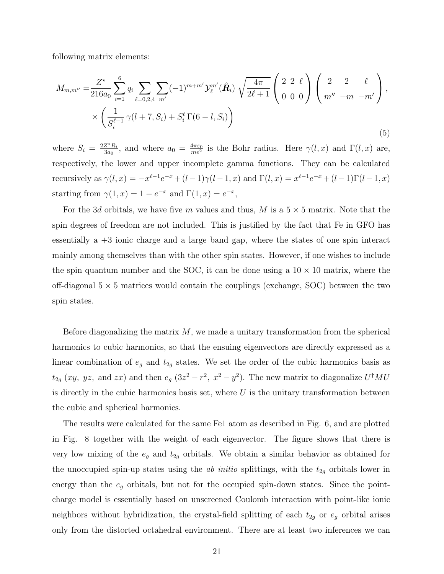following matrix elements:

$$
M_{m,m''} = \frac{Z^{\star}}{216a_0} \sum_{i=1}^{6} q_i \sum_{\ell=0,2,4} \sum_{m'} (-1)^{m+m'} \mathcal{Y}_{\ell}^{m'}(\hat{\mathbf{R}}_i) \sqrt{\frac{4\pi}{2\ell+1}} \begin{pmatrix} 2 & 2 & \ell \\ 0 & 0 & 0 \end{pmatrix} \begin{pmatrix} 2 & 2 & \ell \\ m'' & -m & -m' \end{pmatrix},
$$
  
 
$$
\times \left( \frac{1}{S_{i}^{\ell+1}} \gamma(l+7, S_{i}) + S_{i}^{\ell} \Gamma(6-l, S_{i}) \right)
$$
(5)

where  $S_i = \frac{2Z^*R_i}{3a_0}$  $\frac{Z^*R_i}{3a_0}$ , and where  $a_0 = \frac{4\pi\varepsilon_0}{me^2}$  is the Bohr radius. Here  $\gamma(l,x)$  and  $\Gamma(l,x)$  are, respectively, the lower and upper incomplete gamma functions. They can be calculated recursively as  $\gamma(l,x) = -x^{\ell-1}e^{-x} + (l-1)\gamma(l-1,x)$  and  $\Gamma(l,x) = x^{\ell-1}e^{-x} + (l-1)\Gamma(l-1,x)$ starting from  $\gamma(1, x) = 1 - e^{-x}$  and  $\Gamma(1, x) = e^{-x}$ ,

For the 3d orbitals, we have five m values and thus, M is a  $5 \times 5$  matrix. Note that the spin degrees of freedom are not included. This is justified by the fact that Fe in GFO has essentially a +3 ionic charge and a large band gap, where the states of one spin interact mainly among themselves than with the other spin states. However, if one wishes to include the spin quantum number and the SOC, it can be done using a  $10 \times 10$  matrix, where the off-diagonal  $5 \times 5$  matrices would contain the couplings (exchange, SOC) between the two spin states.

Before diagonalizing the matrix  $M$ , we made a unitary transformation from the spherical harmonics to cubic harmonics, so that the ensuing eigenvectors are directly expressed as a linear combination of  $e_g$  and  $t_{2g}$  states. We set the order of the cubic harmonics basis as  $t_{2g}$  (xy, yz, and zx) and then  $e_g$  (3 $z^2 - r^2$ ,  $x^2 - y^2$ ). The new matrix to diagonalize  $U^{\dagger}MU$ is directly in the cubic harmonics basis set, where  $U$  is the unitary transformation between the cubic and spherical harmonics.

The results were calculated for the same Fe1 atom as described in Fig. 6, and are plotted in Fig. 8 together with the weight of each eigenvector. The figure shows that there is very low mixing of the  $e_g$  and  $t_{2g}$  orbitals. We obtain a similar behavior as obtained for the unoccupied spin-up states using the *ab initio* splittings, with the  $t_{2g}$  orbitals lower in energy than the  $e_g$  orbitals, but not for the occupied spin-down states. Since the pointcharge model is essentially based on unscreened Coulomb interaction with point-like ionic neighbors without hybridization, the crystal-field splitting of each  $t_{2g}$  or  $e_g$  orbital arises only from the distorted octahedral environment. There are at least two inferences we can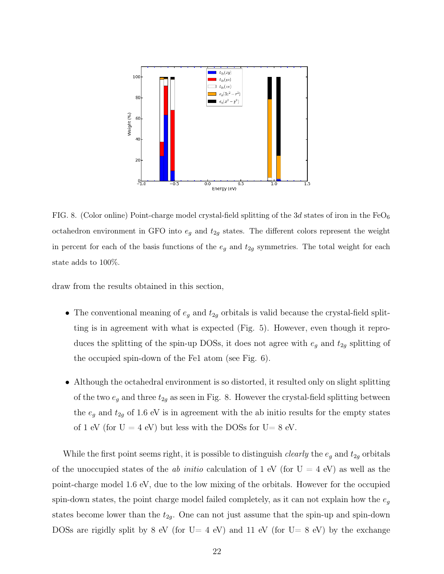

FIG. 8. (Color online) Point-charge model crystal-field splitting of the 3d states of iron in the FeO<sub>6</sub> octahedron environment in GFO into  $e_g$  and  $t_{2g}$  states. The different colors represent the weight in percent for each of the basis functions of the  $e_g$  and  $t_{2g}$  symmetries. The total weight for each state adds to 100%.

draw from the results obtained in this section,

- The conventional meaning of  $e_g$  and  $t_{2g}$  orbitals is valid because the crystal-field splitting is in agreement with what is expected (Fig. 5). However, even though it reproduces the splitting of the spin-up DOSs, it does not agree with  $e_g$  and  $t_{2g}$  splitting of the occupied spin-down of the Fe1 atom (see Fig. 6).
- Although the octahedral environment is so distorted, it resulted only on slight splitting of the two  $e_g$  and three  $t_{2g}$  as seen in Fig. 8. However the crystal-field splitting between the  $e_g$  and  $t_{2g}$  of 1.6 eV is in agreement with the ab initio results for the empty states of 1 eV (for  $U = 4$  eV) but less with the DOSs for  $U = 8$  eV.

While the first point seems right, it is possible to distinguish *clearly* the  $e_g$  and  $t_{2g}$  orbitals of the unoccupied states of the *ab initio* calculation of 1 eV (for  $U = 4$  eV) as well as the point-charge model 1.6 eV, due to the low mixing of the orbitals. However for the occupied spin-down states, the point charge model failed completely, as it can not explain how the  $e_g$ states become lower than the  $t_{2g}$ . One can not just assume that the spin-up and spin-down DOSs are rigidly split by 8 eV (for  $U=4$  eV) and 11 eV (for  $U=8$  eV) by the exchange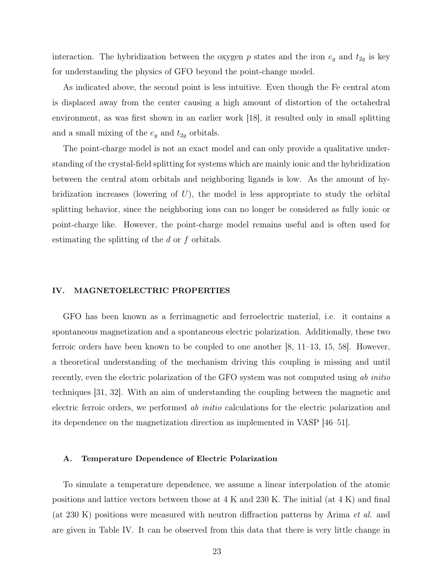interaction. The hybridization between the oxygen  $p$  states and the iron  $e_g$  and  $t_{2g}$  is key for understanding the physics of GFO beyond the point-change model.

As indicated above, the second point is less intuitive. Even though the Fe central atom is displaced away from the center causing a high amount of distortion of the octahedral environment, as was first shown in an earlier work [18], it resulted only in small splitting and a small mixing of the  $e_g$  and  $t_{2g}$  orbitals.

The point-charge model is not an exact model and can only provide a qualitative understanding of the crystal-field splitting for systems which are mainly ionic and the hybridization between the central atom orbitals and neighboring ligands is low. As the amount of hybridization increases (lowering of  $U$ ), the model is less appropriate to study the orbital splitting behavior, since the neighboring ions can no longer be considered as fully ionic or point-charge like. However, the point-charge model remains useful and is often used for estimating the splitting of the d or f orbitals.

#### IV. MAGNETOELECTRIC PROPERTIES

GFO has been known as a ferrimagnetic and ferroelectric material, i.e. it contains a spontaneous magnetization and a spontaneous electric polarization. Additionally, these two ferroic orders have been known to be coupled to one another [8, 11–13, 15, 58]. However, a theoretical understanding of the mechanism driving this coupling is missing and until recently, even the electric polarization of the GFO system was not computed using ab initio techniques [31, 32]. With an aim of understanding the coupling between the magnetic and electric ferroic orders, we performed *ab initio* calculations for the electric polarization and its dependence on the magnetization direction as implemented in VASP [46–51].

#### A. Temperature Dependence of Electric Polarization

To simulate a temperature dependence, we assume a linear interpolation of the atomic positions and lattice vectors between those at 4 K and 230 K. The initial (at 4 K) and final (at 230 K) positions were measured with neutron diffraction patterns by Arima et al. and are given in Table IV. It can be observed from this data that there is very little change in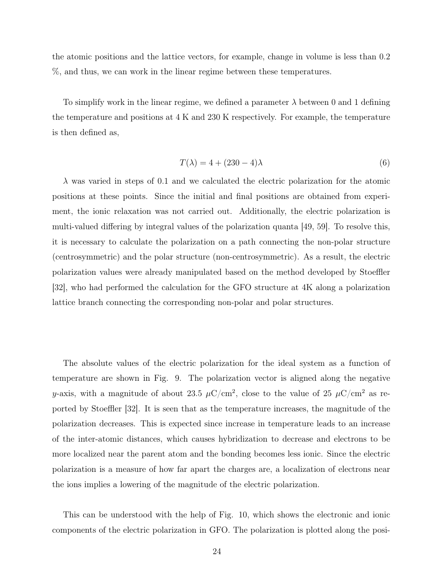the atomic positions and the lattice vectors, for example, change in volume is less than 0.2 %, and thus, we can work in the linear regime between these temperatures.

To simplify work in the linear regime, we defined a parameter  $\lambda$  between 0 and 1 defining the temperature and positions at 4 K and 230 K respectively. For example, the temperature is then defined as,

$$
T(\lambda) = 4 + (230 - 4)\lambda \tag{6}
$$

 $\lambda$  was varied in steps of 0.1 and we calculated the electric polarization for the atomic positions at these points. Since the initial and final positions are obtained from experiment, the ionic relaxation was not carried out. Additionally, the electric polarization is multi-valued differing by integral values of the polarization quanta [49, 59]. To resolve this, it is necessary to calculate the polarization on a path connecting the non-polar structure (centrosymmetric) and the polar structure (non-centrosymmetric). As a result, the electric polarization values were already manipulated based on the method developed by Stoeffler [32], who had performed the calculation for the GFO structure at 4K along a polarization lattice branch connecting the corresponding non-polar and polar structures.

The absolute values of the electric polarization for the ideal system as a function of temperature are shown in Fig. 9. The polarization vector is aligned along the negative y-axis, with a magnitude of about 23.5  $\mu$ C/cm<sup>2</sup>, close to the value of 25  $\mu$ C/cm<sup>2</sup> as reported by Stoeffler [32]. It is seen that as the temperature increases, the magnitude of the polarization decreases. This is expected since increase in temperature leads to an increase of the inter-atomic distances, which causes hybridization to decrease and electrons to be more localized near the parent atom and the bonding becomes less ionic. Since the electric polarization is a measure of how far apart the charges are, a localization of electrons near the ions implies a lowering of the magnitude of the electric polarization.

This can be understood with the help of Fig. 10, which shows the electronic and ionic components of the electric polarization in GFO. The polarization is plotted along the posi-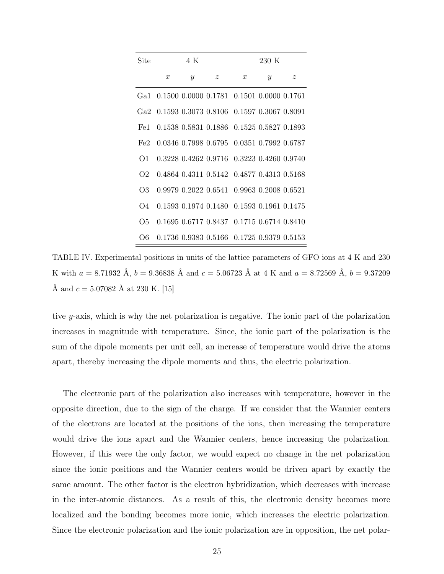| Site           |                  | 4 K           |                                               |                  | 230 K |             |
|----------------|------------------|---------------|-----------------------------------------------|------------------|-------|-------------|
|                | $\boldsymbol{x}$ | $\mathcal{Y}$ | $\boldsymbol{z}$                              | $\boldsymbol{x}$ | Y     | $\tilde{z}$ |
| Ga1            |                  |               | 0.1500 0.0000 0.1781 0.1501 0.0000 0.1761     |                  |       |             |
|                |                  |               | Ga2 0.1593 0.3073 0.8106 0.1597 0.3067 0.8091 |                  |       |             |
| Fe1            |                  |               | 0.1538 0.5831 0.1886 0.1525 0.5827 0.1893     |                  |       |             |
| Fe2            |                  |               | 0.0346 0.7998 0.6795 0.0351 0.7992 0.6787     |                  |       |             |
| $\Omega$ 1     |                  |               | 0.3228 0.4262 0.9716 0.3223 0.4260 0.9740     |                  |       |             |
| O <sub>2</sub> |                  |               | 0.4864 0.4311 0.5142 0.4877 0.4313 0.5168     |                  |       |             |
| OЗ             |                  |               | 0.9979 0.2022 0.6541 0.9963 0.2008 0.6521     |                  |       |             |
| O4             |                  |               | 0.1593 0.1974 0.1480 0.1593 0.1961 0.1475     |                  |       |             |
| Ο5             |                  |               | 0.1695 0.6717 0.8437 0.1715 0.6714 0.8410     |                  |       |             |
| О6             |                  |               | 0.1736 0.9383 0.5166 0.1725 0.9379 0.5153     |                  |       |             |

TABLE IV. Experimental positions in units of the lattice parameters of GFO ions at 4 K and 230 K with  $a = 8.71932$  Å,  $b = 9.36838$  Å and  $c = 5.06723$  Å at 4 K and  $a = 8.72569$  Å,  $b = 9.37209$ Å and  $c = 5.07082$  Å at 230 K. [15]

tive y-axis, which is why the net polarization is negative. The ionic part of the polarization increases in magnitude with temperature. Since, the ionic part of the polarization is the sum of the dipole moments per unit cell, an increase of temperature would drive the atoms apart, thereby increasing the dipole moments and thus, the electric polarization.

The electronic part of the polarization also increases with temperature, however in the opposite direction, due to the sign of the charge. If we consider that the Wannier centers of the electrons are located at the positions of the ions, then increasing the temperature would drive the ions apart and the Wannier centers, hence increasing the polarization. However, if this were the only factor, we would expect no change in the net polarization since the ionic positions and the Wannier centers would be driven apart by exactly the same amount. The other factor is the electron hybridization, which decreases with increase in the inter-atomic distances. As a result of this, the electronic density becomes more localized and the bonding becomes more ionic, which increases the electric polarization. Since the electronic polarization and the ionic polarization are in opposition, the net polar-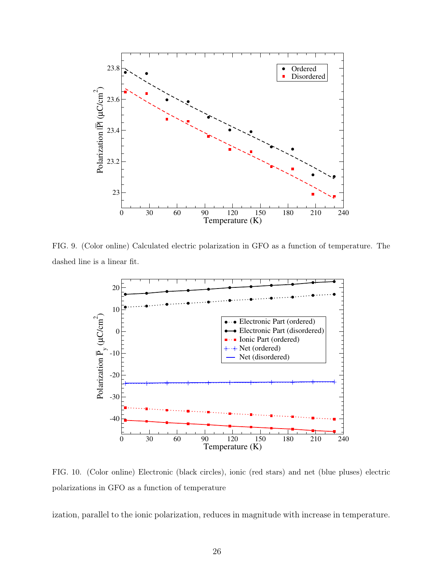

FIG. 9. (Color online) Calculated electric polarization in GFO as a function of temperature. The dashed line is a linear fit.



FIG. 10. (Color online) Electronic (black circles), ionic (red stars) and net (blue pluses) electric polarizations in GFO as a function of temperature

ization, parallel to the ionic polarization, reduces in magnitude with increase in temperature.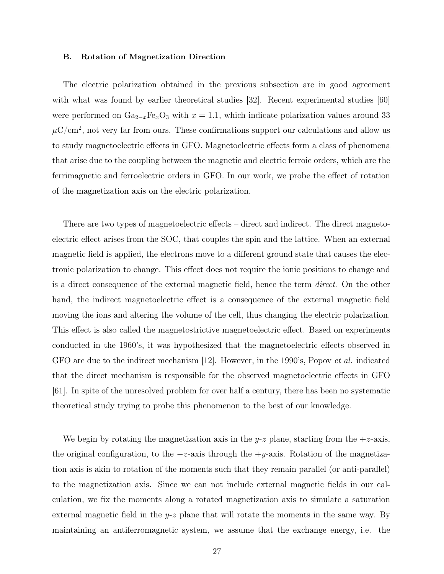#### B. Rotation of Magnetization Direction

The electric polarization obtained in the previous subsection are in good agreement with what was found by earlier theoretical studies [32]. Recent experimental studies [60] were performed on  $Ga_{2-x}Fe_xO_3$  with  $x = 1.1$ , which indicate polarization values around 33  $\mu$ C/cm<sup>2</sup>, not very far from ours. These confirmations support our calculations and allow us to study magnetoelectric effects in GFO. Magnetoelectric effects form a class of phenomena that arise due to the coupling between the magnetic and electric ferroic orders, which are the ferrimagnetic and ferroelectric orders in GFO. In our work, we probe the effect of rotation of the magnetization axis on the electric polarization.

There are two types of magnetoelectric effects – direct and indirect. The direct magnetoelectric effect arises from the SOC, that couples the spin and the lattice. When an external magnetic field is applied, the electrons move to a different ground state that causes the electronic polarization to change. This effect does not require the ionic positions to change and is a direct consequence of the external magnetic field, hence the term direct. On the other hand, the indirect magnetoelectric effect is a consequence of the external magnetic field moving the ions and altering the volume of the cell, thus changing the electric polarization. This effect is also called the magnetostrictive magnetoelectric effect. Based on experiments conducted in the 1960's, it was hypothesized that the magnetoelectric effects observed in GFO are due to the indirect mechanism [12]. However, in the 1990's, Popov et al. indicated that the direct mechanism is responsible for the observed magnetoelectric effects in GFO [61]. In spite of the unresolved problem for over half a century, there has been no systematic theoretical study trying to probe this phenomenon to the best of our knowledge.

We begin by rotating the magnetization axis in the y-z plane, starting from the  $+z$ -axis, the original configuration, to the  $-z$ -axis through the  $+y$ -axis. Rotation of the magnetization axis is akin to rotation of the moments such that they remain parallel (or anti-parallel) to the magnetization axis. Since we can not include external magnetic fields in our calculation, we fix the moments along a rotated magnetization axis to simulate a saturation external magnetic field in the  $y-z$  plane that will rotate the moments in the same way. By maintaining an antiferromagnetic system, we assume that the exchange energy, i.e. the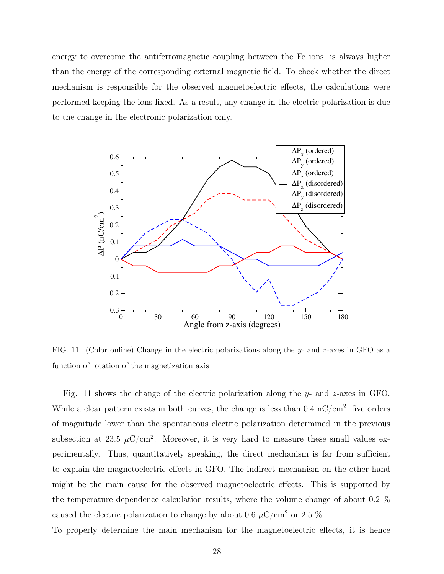energy to overcome the antiferromagnetic coupling between the Fe ions, is always higher than the energy of the corresponding external magnetic field. To check whether the direct mechanism is responsible for the observed magnetoelectric effects, the calculations were performed keeping the ions fixed. As a result, any change in the electric polarization is due to the change in the electronic polarization only.



FIG. 11. (Color online) Change in the electric polarizations along the y- and z-axes in GFO as a function of rotation of the magnetization axis

Fig. 11 shows the change of the electric polarization along the y- and z-axes in GFO. While a clear pattern exists in both curves, the change is less than  $0.4 \text{ nC/cm}^2$ , five orders of magnitude lower than the spontaneous electric polarization determined in the previous subsection at 23.5  $\mu$ C/cm<sup>2</sup>. Moreover, it is very hard to measure these small values experimentally. Thus, quantitatively speaking, the direct mechanism is far from sufficient to explain the magnetoelectric effects in GFO. The indirect mechanism on the other hand might be the main cause for the observed magnetoelectric effects. This is supported by the temperature dependence calculation results, where the volume change of about 0.2 % caused the electric polarization to change by about 0.6  $\mu$ C/cm<sup>2</sup> or 2.5 %.

To properly determine the main mechanism for the magnetoelectric effects, it is hence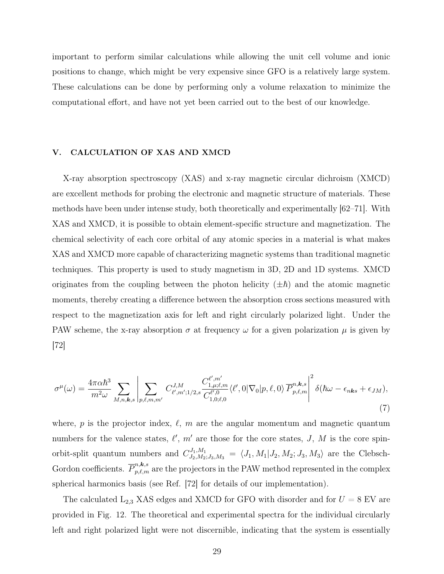important to perform similar calculations while allowing the unit cell volume and ionic positions to change, which might be very expensive since GFO is a relatively large system. These calculations can be done by performing only a volume relaxation to minimize the computational effort, and have not yet been carried out to the best of our knowledge.

#### V. CALCULATION OF XAS AND XMCD

X-ray absorption spectroscopy (XAS) and x-ray magnetic circular dichroism (XMCD) are excellent methods for probing the electronic and magnetic structure of materials. These methods have been under intense study, both theoretically and experimentally [62–71]. With XAS and XMCD, it is possible to obtain element-specific structure and magnetization. The chemical selectivity of each core orbital of any atomic species in a material is what makes XAS and XMCD more capable of characterizing magnetic systems than traditional magnetic techniques. This property is used to study magnetism in 3D, 2D and 1D systems. XMCD originates from the coupling between the photon helicity  $(\pm \hbar)$  and the atomic magnetic moments, thereby creating a difference between the absorption cross sections measured with respect to the magnetization axis for left and right circularly polarized light. Under the PAW scheme, the x-ray absorption  $\sigma$  at frequency  $\omega$  for a given polarization  $\mu$  is given by [72]

$$
\sigma^{\mu}(\omega) = \frac{4\pi\alpha\hbar^{3}}{m^{2}\omega} \sum_{M,n,\mathbf{k},s} \left| \sum_{p,\ell,m,m'} C^{J,M}_{\ell',m';1/2,s} \frac{C^{l',m'}_{1,\mu;\ell,m}}{C^{l',0}_{1,0;\ell,0}} \langle \ell',0|\nabla_{0}|p,\ell,0\rangle \overline{P}^{n,\mathbf{k},s}_{p,\ell,m} \right|^{2} \delta(\hbar\omega - \epsilon_{n\mathbf{k}s} + \epsilon_{JM}), \tag{7}
$$

where, p is the projector index,  $\ell$ , m are the angular momentum and magnetic quantum numbers for the valence states,  $\ell'$ ,  $m'$  are those for the core states, J, M is the core spinorbit-split quantum numbers and  $C^{J_1,M_1}_{J_2,M_2;J_3,M_3} = \langle J_1,M_1|J_2,M_2;J_3,M_3\rangle$  are the Clebsch-Gordon coefficients.  $\overline{P}_{p,\ell,m}^{n,\mathbf{k},s}$  are the projectors in the PAW method represented in the complex spherical harmonics basis (see Ref. [72] for details of our implementation).

The calculated  $L_{2,3}$  XAS edges and XMCD for GFO with disorder and for  $U = 8$  EV are provided in Fig. 12. The theoretical and experimental spectra for the individual circularly left and right polarized light were not discernible, indicating that the system is essentially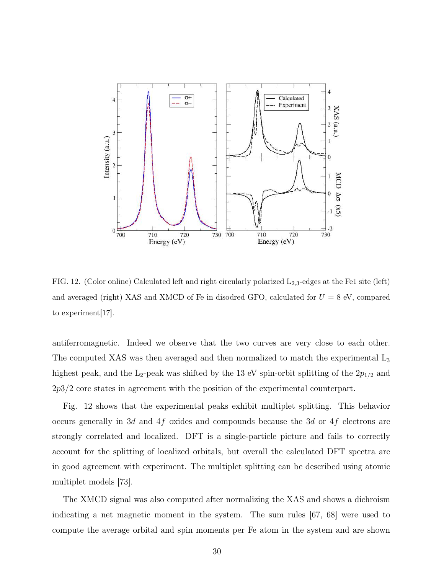

FIG. 12. (Color online) Calculated left and right circularly polarized  $L_{2,3}$ -edges at the Fe1 site (left) and averaged (right) XAS and XMCD of Fe in disodred GFO, calculated for  $U = 8$  eV, compared to experiment[17].

antiferromagnetic. Indeed we observe that the two curves are very close to each other. The computed XAS was then averaged and then normalized to match the experimental  $L_3$ highest peak, and the L<sub>2</sub>-peak was shifted by the 13 eV spin-orbit splitting of the  $2p_{1/2}$  and 2p3/2 core states in agreement with the position of the experimental counterpart.

Fig. 12 shows that the experimental peaks exhibit multiplet splitting. This behavior occurs generally in 3d and 4f oxides and compounds because the 3d or 4f electrons are strongly correlated and localized. DFT is a single-particle picture and fails to correctly account for the splitting of localized orbitals, but overall the calculated DFT spectra are in good agreement with experiment. The multiplet splitting can be described using atomic multiplet models [73].

The XMCD signal was also computed after normalizing the XAS and shows a dichroism indicating a net magnetic moment in the system. The sum rules [67, 68] were used to compute the average orbital and spin moments per Fe atom in the system and are shown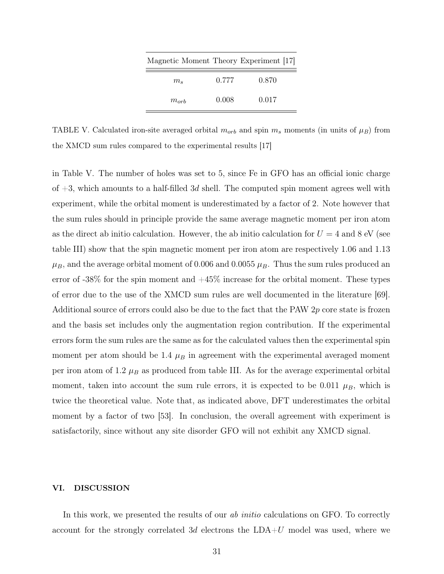| Magnetic Moment Theory Experiment [17] |       |       |
|----------------------------------------|-------|-------|
| $m_{s}$                                | 0.777 | 0.870 |
| $m_{\alpha r h}$                       | 0.008 | 0.017 |

TABLE V. Calculated iron-site averaged orbital  $m_{orb}$  and spin  $m_s$  moments (in units of  $\mu_B$ ) from the XMCD sum rules compared to the experimental results [17]

in Table V. The number of holes was set to 5, since Fe in GFO has an official ionic charge of  $+3$ , which amounts to a half-filled 3d shell. The computed spin moment agrees well with experiment, while the orbital moment is underestimated by a factor of 2. Note however that the sum rules should in principle provide the same average magnetic moment per iron atom as the direct ab initio calculation. However, the ab initio calculation for  $U = 4$  and 8 eV (see table III) show that the spin magnetic moment per iron atom are respectively 1.06 and 1.13  $\mu_B$ , and the average orbital moment of 0.006 and 0.0055  $\mu_B$ . Thus the sum rules produced an error of  $-38\%$  for the spin moment and  $+45\%$  increase for the orbital moment. These types of error due to the use of the XMCD sum rules are well documented in the literature [69]. Additional source of errors could also be due to the fact that the PAW  $2p$  core state is frozen and the basis set includes only the augmentation region contribution. If the experimental errors form the sum rules are the same as for the calculated values then the experimental spin moment per atom should be 1.4  $\mu$ B in agreement with the experimental averaged moment per iron atom of 1.2  $\mu_B$  as produced from table III. As for the average experimental orbital moment, taken into account the sum rule errors, it is expected to be 0.011  $\mu_B$ , which is twice the theoretical value. Note that, as indicated above, DFT underestimates the orbital moment by a factor of two [53]. In conclusion, the overall agreement with experiment is satisfactorily, since without any site disorder GFO will not exhibit any XMCD signal.

### VI. DISCUSSION

In this work, we presented the results of our *ab initio* calculations on GFO. To correctly account for the strongly correlated 3d electrons the  $LDA+U$  model was used, where we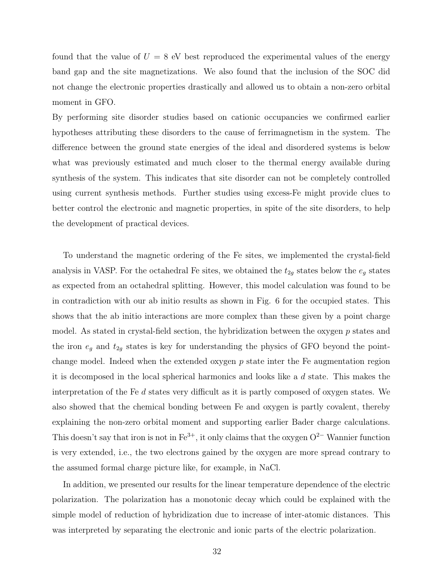found that the value of  $U = 8$  eV best reproduced the experimental values of the energy band gap and the site magnetizations. We also found that the inclusion of the SOC did not change the electronic properties drastically and allowed us to obtain a non-zero orbital moment in GFO.

By performing site disorder studies based on cationic occupancies we confirmed earlier hypotheses attributing these disorders to the cause of ferrimagnetism in the system. The difference between the ground state energies of the ideal and disordered systems is below what was previously estimated and much closer to the thermal energy available during synthesis of the system. This indicates that site disorder can not be completely controlled using current synthesis methods. Further studies using excess-Fe might provide clues to better control the electronic and magnetic properties, in spite of the site disorders, to help the development of practical devices.

To understand the magnetic ordering of the Fe sites, we implemented the crystal-field analysis in VASP. For the octahedral Fe sites, we obtained the  $t_{2g}$  states below the  $e_g$  states as expected from an octahedral splitting. However, this model calculation was found to be in contradiction with our ab initio results as shown in Fig. 6 for the occupied states. This shows that the ab initio interactions are more complex than these given by a point charge model. As stated in crystal-field section, the hybridization between the oxygen  $p$  states and the iron  $e_g$  and  $t_{2g}$  states is key for understanding the physics of GFO beyond the pointchange model. Indeed when the extended oxygen  $p$  state inter the Fe augmentation region it is decomposed in the local spherical harmonics and looks like a d state. This makes the interpretation of the Fe  $d$  states very difficult as it is partly composed of oxygen states. We also showed that the chemical bonding between Fe and oxygen is partly covalent, thereby explaining the non-zero orbital moment and supporting earlier Bader charge calculations. This doesn't say that iron is not in  $Fe^{3+}$ , it only claims that the oxygen O<sup>2−</sup> Wannier function is very extended, i.e., the two electrons gained by the oxygen are more spread contrary to the assumed formal charge picture like, for example, in NaCl.

In addition, we presented our results for the linear temperature dependence of the electric polarization. The polarization has a monotonic decay which could be explained with the simple model of reduction of hybridization due to increase of inter-atomic distances. This was interpreted by separating the electronic and ionic parts of the electric polarization.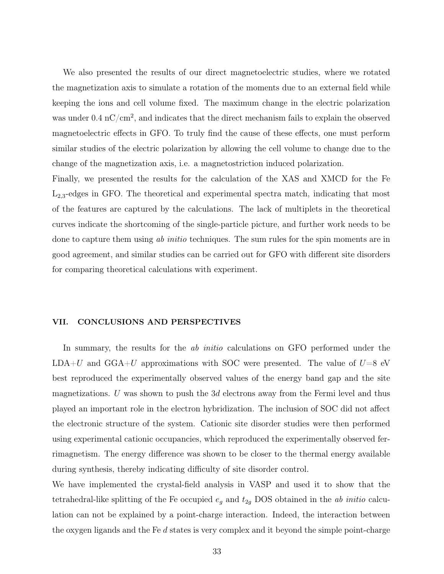We also presented the results of our direct magnetoelectric studies, where we rotated the magnetization axis to simulate a rotation of the moments due to an external field while keeping the ions and cell volume fixed. The maximum change in the electric polarization was under  $0.4 \text{ nC/cm}^2$ , and indicates that the direct mechanism fails to explain the observed magnetoelectric effects in GFO. To truly find the cause of these effects, one must perform similar studies of the electric polarization by allowing the cell volume to change due to the change of the magnetization axis, i.e. a magnetostriction induced polarization.

Finally, we presented the results for the calculation of the XAS and XMCD for the Fe  $L_{2,3}$ -edges in GFO. The theoretical and experimental spectra match, indicating that most of the features are captured by the calculations. The lack of multiplets in the theoretical curves indicate the shortcoming of the single-particle picture, and further work needs to be done to capture them using ab *initio* techniques. The sum rules for the spin moments are in good agreement, and similar studies can be carried out for GFO with different site disorders for comparing theoretical calculations with experiment.

#### VII. CONCLUSIONS AND PERSPECTIVES

In summary, the results for the *ab initio* calculations on GFO performed under the LDA+U and GGA+U approximations with SOC were presented. The value of  $U=8$  eV best reproduced the experimentally observed values of the energy band gap and the site magnetizations. U was shown to push the  $3d$  electrons away from the Fermi level and thus played an important role in the electron hybridization. The inclusion of SOC did not affect the electronic structure of the system. Cationic site disorder studies were then performed using experimental cationic occupancies, which reproduced the experimentally observed ferrimagnetism. The energy difference was shown to be closer to the thermal energy available during synthesis, thereby indicating difficulty of site disorder control.

We have implemented the crystal-field analysis in VASP and used it to show that the tetrahedral-like splitting of the Fe occupied  $e_g$  and  $t_{2g}$  DOS obtained in the *ab initio* calculation can not be explained by a point-charge interaction. Indeed, the interaction between the oxygen ligands and the Fe  $d$  states is very complex and it beyond the simple point-charge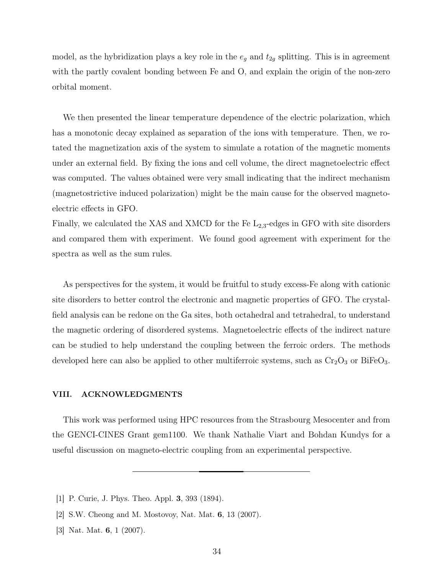model, as the hybridization plays a key role in the  $e_g$  and  $t_{2g}$  splitting. This is in agreement with the partly covalent bonding between Fe and O, and explain the origin of the non-zero orbital moment.

We then presented the linear temperature dependence of the electric polarization, which has a monotonic decay explained as separation of the ions with temperature. Then, we rotated the magnetization axis of the system to simulate a rotation of the magnetic moments under an external field. By fixing the ions and cell volume, the direct magnetoelectric effect was computed. The values obtained were very small indicating that the indirect mechanism (magnetostrictive induced polarization) might be the main cause for the observed magnetoelectric effects in GFO.

Finally, we calculated the XAS and XMCD for the Fe  $L_{2,3}$ -edges in GFO with site disorders and compared them with experiment. We found good agreement with experiment for the spectra as well as the sum rules.

As perspectives for the system, it would be fruitful to study excess-Fe along with cationic site disorders to better control the electronic and magnetic properties of GFO. The crystalfield analysis can be redone on the Ga sites, both octahedral and tetrahedral, to understand the magnetic ordering of disordered systems. Magnetoelectric effects of the indirect nature can be studied to help understand the coupling between the ferroic orders. The methods developed here can also be applied to other multiferroic systems, such as  $Cr_2O_3$  or BiFeO<sub>3</sub>.

### VIII. ACKNOWLEDGMENTS

This work was performed using HPC resources from the Strasbourg Mesocenter and from the GENCI-CINES Grant gem1100. We thank Nathalie Viart and Bohdan Kundys for a useful discussion on magneto-electric coupling from an experimental perspective.

- [1] P. Curie, J. Phys. Theo. Appl. 3, 393 (1894).
- [2] S.W. Cheong and M. Mostovoy, Nat. Mat. 6, 13 (2007).
- [3] Nat. Mat. 6, 1 (2007).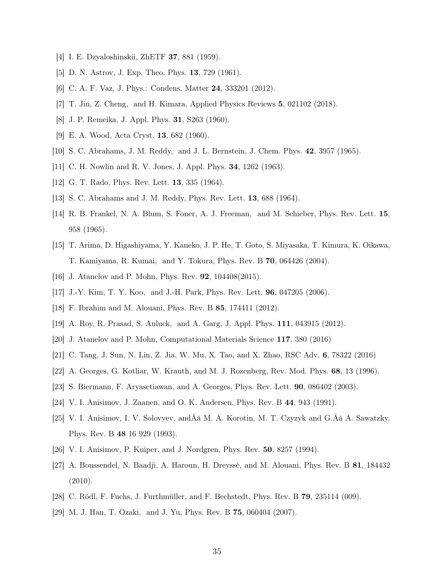- [4] I. E. Dzyaloshinskii, ZhETF 37, 881 (1959).
- [5] D. N. Astrov, J. Exp. Theo. Phys. 13, 729 (1961).
- [6] C. A. F. Vaz, J. Phys.: Condens. Matter 24, 333201 (2012).
- [7] T. Jin, Z. Cheng, and H. Kimara, Applied Physics Reviews 5, 021102 (2018).
- [8] J. P. Remeika, J. Appl. Phys. 31, S263 (1960).
- [9] E. A. Wood, Acta Cryst. 13, 682 (1960).
- [10] S. C. Abrahams, J. M. Reddy, and J. L. Bernstein, J. Chem. Phys. 42, 3957 (1965).
- [11] C. H. Nowlin and R. V. Jones, J. Appl. Phys. 34, 1262 (1963).
- [12] G. T. Rado, Phys. Rev. Lett. 13, 335 (1964).
- [13] S. C. Abrahams and J. M. Reddy, Phys. Rev. Lett. 13, 688 (1964).
- [14] R. B. Frankel, N. A. Blum, S. Foner, A. J. Freeman, and M. Schieber, Phys. Rev. Lett. 15, 958 (1965).
- [15] T. Arima, D. Higashiyama, Y. Kaneko, J. P. He, T. Goto, S. Miyasaka, T. Kimura, K. Oikawa, T. Kamiyama, R. Kumai, and Y. Tokura, Phys. Rev. B 70, 064426 (2004).
- [16] J. Atanelov and P. Mohn, Phys. Rev. 92, 104408(2015).
- [17] J.-Y. Kim, T. Y. Koo, and J.-H. Park, Phys. Rev. Lett. 96, 047205 (2006).
- [18] F. Ibrahim and M. Alouani, Phys. Rev. B 85, 174411 (2012).
- [19] A. Roy, R. Prasad, S. Auluck, and A. Garg, J. Appl. Phys. 111, 043915 (2012).
- [20] J. Atanelov and P. Mohn, Computational Materials Science 117, 380 (2016)
- [21] C. Tang, J. Sun, N. Lin, Z. Jia, W. Mu, X. Tao, and X. Zhao, RSC Adv. 6, 78322 (2016)
- [22] A. Georges, G. Kotliar, W. Krauth, and M. J. Rozenberg, Rev. Mod. Phys. 68, 13 (1996).
- [23] S. Biermann, F. Aryasetiawan, and A. Georges, Phys. Rev. Lett. 90, 086402 (2003).
- [24] V. I. Anisimov, J. Zaanen, and O. K. Andersen, Phys. Rev. B 44, 943 (1991).
- [25] V. I. Anisimov, I. V. Solovyev, andÂă M. A. Korotin, M. T. Czyzyk and G.Âă A. Sawatzky, Phys. Rev. B 48 16 929 (1993).
- [26] V. I. Anisimov, P. Kuiper, and J. Nordgren, Phys. Rev. 50, 8257 (1994).
- [27] A. Boussendel, N. Baadji, A. Haroun, H. Dreyssé, and M. Alouani, Phys. Rev. B 81, 184432 (2010).
- [28] C. Rödl, F. Fuchs, J. Furthmüller, and F. Bechstedt, Phys. Rev. B 79, 235114 (009).
- [29] M. J. Han, T. Ozaki, and J. Yu, Phys. Rev. B 75, 060404 (2007).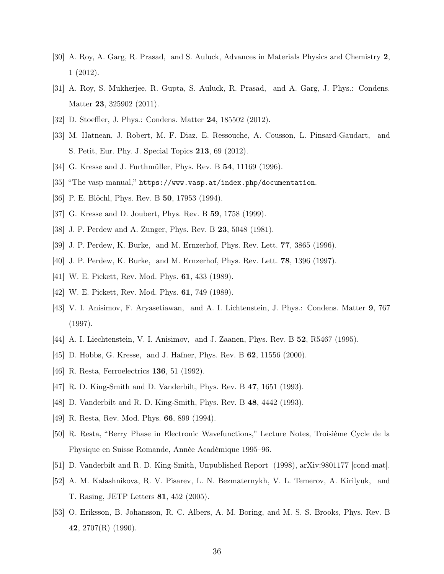- [30] A. Roy, A. Garg, R. Prasad, and S. Auluck, Advances in Materials Physics and Chemistry 2, 1 (2012).
- [31] A. Roy, S. Mukherjee, R. Gupta, S. Auluck, R. Prasad, and A. Garg, J. Phys.: Condens. Matter **23**, 325902 (2011).
- [32] D. Stoeffler, J. Phys.: Condens. Matter 24, 185502 (2012).
- [33] M. Hatnean, J. Robert, M. F. Diaz, E. Ressouche, A. Cousson, L. Pinsard-Gaudart, and S. Petit, Eur. Phy. J. Special Topics 213, 69 (2012).
- [34] G. Kresse and J. Furthmüller, Phys. Rev. B **54**, 11169 (1996).
- [35] "The vasp manual," https://www.vasp.at/index.php/documentation.
- [36] P. E. Blöchl, Phys. Rev. B **50**, 17953 (1994).
- [37] G. Kresse and D. Joubert, Phys. Rev. B 59, 1758 (1999).
- [38] J. P. Perdew and A. Zunger, Phys. Rev. B 23, 5048 (1981).
- [39] J. P. Perdew, K. Burke, and M. Ernzerhof, Phys. Rev. Lett. 77, 3865 (1996).
- [40] J. P. Perdew, K. Burke, and M. Ernzerhof, Phys. Rev. Lett. 78, 1396 (1997).
- [41] W. E. Pickett, Rev. Mod. Phys. 61, 433 (1989).
- [42] W. E. Pickett, Rev. Mod. Phys. 61, 749 (1989).
- [43] V. I. Anisimov, F. Aryasetiawan, and A. I. Lichtenstein, J. Phys.: Condens. Matter 9, 767 (1997).
- [44] A. I. Liechtenstein, V. I. Anisimov, and J. Zaanen, Phys. Rev. B 52, R5467 (1995).
- [45] D. Hobbs, G. Kresse, and J. Hafner, Phys. Rev. B 62, 11556 (2000).
- [46] R. Resta, Ferroelectrics 136, 51 (1992).
- [47] R. D. King-Smith and D. Vanderbilt, Phys. Rev. B 47, 1651 (1993).
- [48] D. Vanderbilt and R. D. King-Smith, Phys. Rev. B 48, 4442 (1993).
- [49] R. Resta, Rev. Mod. Phys. 66, 899 (1994).
- [50] R. Resta, "Berry Phase in Electronic Wavefunctions," Lecture Notes, Troisième Cycle de la Physique en Suisse Romande, Année Académique 1995–96.
- [51] D. Vanderbilt and R. D. King-Smith, Unpublished Report (1998), arXiv:9801177 [cond-mat].
- [52] A. M. Kalashnikova, R. V. Pisarev, L. N. Bezmaternykh, V. L. Temerov, A. Kirilyuk, and T. Rasing, JETP Letters 81, 452 (2005).
- [53] O. Eriksson, B. Johansson, R. C. Albers, A. M. Boring, and M. S. S. Brooks, Phys. Rev. B 42,  $2707(R)$  (1990).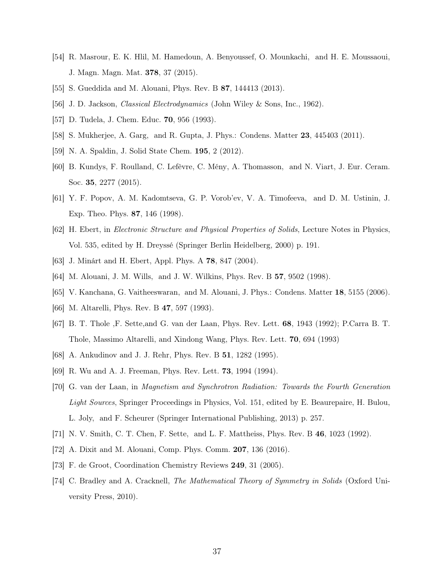- [54] R. Masrour, E. K. Hlil, M. Hamedoun, A. Benyoussef, O. Mounkachi, and H. E. Moussaoui, J. Magn. Magn. Mat. 378, 37 (2015).
- [55] S. Gueddida and M. Alouani, Phys. Rev. B 87, 144413 (2013).
- [56] J. D. Jackson, *Classical Electrodynamics* (John Wiley & Sons, Inc., 1962).
- [57] D. Tudela, J. Chem. Educ. 70, 956 (1993).
- [58] S. Mukherjee, A. Garg, and R. Gupta, J. Phys.: Condens. Matter 23, 445403 (2011).
- [59] N. A. Spaldin, J. Solid State Chem. 195, 2 (2012).
- [60] B. Kundys, F. Roulland, C. Lefèvre, C. Mény, A. Thomasson, and N. Viart, J. Eur. Ceram. Soc. 35, 2277 (2015).
- [61] Y. F. Popov, A. M. Kadomtseva, G. P. Vorob'ev, V. A. Timofeeva, and D. M. Ustinin, J. Exp. Theo. Phys. 87, 146 (1998).
- [62] H. Ebert, in *Electronic Structure and Physical Properties of Solids*, Lecture Notes in Physics, Vol. 535, edited by H. Dreyssé (Springer Berlin Heidelberg, 2000) p. 191.
- [63] J. Minárt and H. Ebert, Appl. Phys. A 78, 847 (2004).
- [64] M. Alouani, J. M. Wills, and J. W. Wilkins, Phys. Rev. B 57, 9502 (1998).
- [65] V. Kanchana, G. Vaitheeswaran, and M. Alouani, J. Phys.: Condens. Matter 18, 5155 (2006).
- [66] M. Altarelli, Phys. Rev. B **47**, 597 (1993).
- [67] B. T. Thole ,F. Sette,and G. van der Laan, Phys. Rev. Lett. 68, 1943 (1992); P.Carra B. T. Thole, Massimo Altarelli, and Xindong Wang, Phys. Rev. Lett. 70, 694 (1993)
- [68] A. Ankudinov and J. J. Rehr, Phys. Rev. B 51, 1282 (1995).
- [69] R. Wu and A. J. Freeman, Phys. Rev. Lett. 73, 1994 (1994).
- [70] G. van der Laan, in *Magnetism and Synchrotron Radiation: Towards the Fourth Generation Light Sources*, Springer Proceedings in Physics, Vol. 151, edited by E. Beaurepaire, H. Bulou, L. Joly, and F. Scheurer (Springer International Publishing, 2013) p. 257.
- [71] N. V. Smith, C. T. Chen, F. Sette, and L. F. Mattheiss, Phys. Rev. B 46, 1023 (1992).
- [72] A. Dixit and M. Alouani, Comp. Phys. Comm. 207, 136 (2016).
- [73] F. de Groot, Coordination Chemistry Reviews 249, 31 (2005).
- [74] C. Bradley and A. Cracknell, *The Mathematical Theory of Symmetry in Solids* (Oxford University Press, 2010).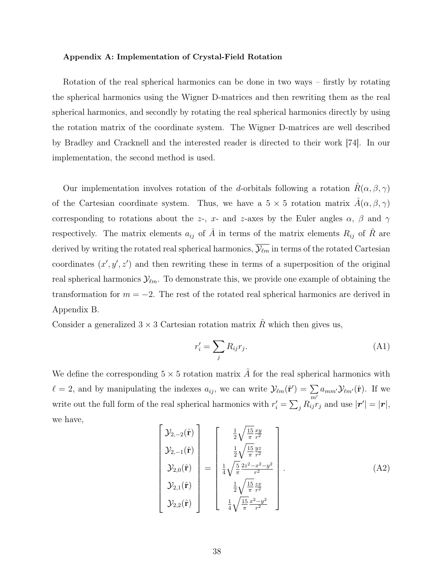#### Appendix A: Implementation of Crystal-Field Rotation

Rotation of the real spherical harmonics can be done in two ways – firstly by rotating the spherical harmonics using the Wigner D-matrices and then rewriting them as the real spherical harmonics, and secondly by rotating the real spherical harmonics directly by using the rotation matrix of the coordinate system. The Wigner D-matrices are well described by Bradley and Cracknell and the interested reader is directed to their work [74]. In our implementation, the second method is used.

Our implementation involves rotation of the d-orbitals following a rotation  $\hat{R}(\alpha,\beta,\gamma)$ of the Cartesian coordinate system. Thus, we have a  $5 \times 5$  rotation matrix  $\hat{A}(\alpha, \beta, \gamma)$ corresponding to rotations about the z-, x- and z-axes by the Euler angles  $\alpha$ ,  $\beta$  and  $\gamma$ respectively. The matrix elements  $a_{ij}$  of  $\hat{A}$  in terms of the matrix elements  $R_{ij}$  of  $\hat{R}$  are derived by writing the rotated real spherical harmonics,  $\overline{\mathcal{Y}_{\ell m}}$  in terms of the rotated Cartesian coordinates  $(x', y', z')$  and then rewriting these in terms of a superposition of the original real spherical harmonics  $\mathcal{Y}_{\ell m}$ . To demonstrate this, we provide one example of obtaining the transformation for  $m = -2$ . The rest of the rotated real spherical harmonics are derived in Appendix B.

Consider a generalized  $3 \times 3$  Cartesian rotation matrix  $\hat{R}$  which then gives us,

$$
r_i' = \sum_j R_{ij} r_j. \tag{A1}
$$

We define the corresponding  $5 \times 5$  rotation matrix  $\hat{A}$  for the real spherical harmonics with  $\ell = 2$ , and by manipulating the indexes  $a_{ij}$ , we can write  $\mathcal{Y}_{\ell m}(\hat{\mathbf{r}}') = \sum_{i=1}^{n}$  $\sum_{m'} a_{mm'} \mathcal{Y}_{\ell m'}(\hat{\mathbf{r}})$ . If we write out the full form of the real spherical harmonics with  $r'_i = \sum_j R_{ij}^{m} r_j$  and use  $|\mathbf{r}'| = |\mathbf{r}|$ , we have,

$$
\begin{bmatrix}\n\mathcal{Y}_{2,-2}(\hat{\mathbf{r}}) \\
\mathcal{Y}_{2,-1}(\hat{\mathbf{r}}) \\
\mathcal{Y}_{2,0}(\hat{\mathbf{r}}) \\
\mathcal{Y}_{2,1}(\hat{\mathbf{r}})\n\end{bmatrix} = \begin{bmatrix}\n\frac{1}{2}\sqrt{\frac{15}{\pi}}\frac{xy}{r^2} \\
\frac{1}{2}\sqrt{\frac{15}{\pi}}\frac{yz}{r^2} \\
\frac{1}{4}\sqrt{\frac{5}{\pi}}\frac{2z^2 - x^2 - y^2}{r^2} \\
\frac{1}{2}\sqrt{\frac{15}{\pi}}\frac{zx}{r^2} \\
\frac{1}{4}\sqrt{\frac{15}{\pi}}\frac{x^2 - y^2}{r^2}\n\end{bmatrix}.
$$
\n(A2)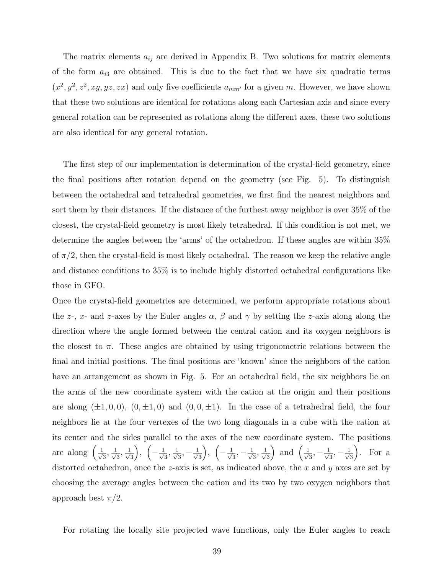The matrix elements  $a_{ij}$  are derived in Appendix B. Two solutions for matrix elements of the form  $a_{i3}$  are obtained. This is due to the fact that we have six quadratic terms  $(x^2, y^2, z^2, xy, yz, zx)$  and only five coefficients  $a_{mm'}$  for a given m. However, we have shown that these two solutions are identical for rotations along each Cartesian axis and since every general rotation can be represented as rotations along the different axes, these two solutions are also identical for any general rotation.

The first step of our implementation is determination of the crystal-field geometry, since the final positions after rotation depend on the geometry (see Fig. 5). To distinguish between the octahedral and tetrahedral geometries, we first find the nearest neighbors and sort them by their distances. If the distance of the furthest away neighbor is over 35% of the closest, the crystal-field geometry is most likely tetrahedral. If this condition is not met, we determine the angles between the 'arms' of the octahedron. If these angles are within 35% of  $\pi/2$ , then the crystal-field is most likely octahedral. The reason we keep the relative angle and distance conditions to 35% is to include highly distorted octahedral configurations like those in GFO.

Once the crystal-field geometries are determined, we perform appropriate rotations about the z-, x- and z-axes by the Euler angles  $\alpha$ ,  $\beta$  and  $\gamma$  by setting the z-axis along along the direction where the angle formed between the central cation and its oxygen neighbors is the closest to  $\pi$ . These angles are obtained by using trigonometric relations between the final and initial positions. The final positions are 'known' since the neighbors of the cation have an arrangement as shown in Fig. 5. For an octahedral field, the six neighbors lie on the arms of the new coordinate system with the cation at the origin and their positions are along  $(\pm 1, 0, 0)$ ,  $(0, \pm 1, 0)$  and  $(0, 0, \pm 1)$ . In the case of a tetrahedral field, the four neighbors lie at the four vertexes of the two long diagonals in a cube with the cation at its center and the sides parallel to the axes of the new coordinate system. The positions are along  $\left(\frac{1}{\sqrt{2}}\right)$  $\frac{1}{3}, \frac{1}{\sqrt{2}}$  $\overline{\overline{3}}$ ,  $\frac{1}{\sqrt{3}}$ 3 ),  $($  $-\frac{1}{\sqrt{2}}$  $\frac{1}{3}, \frac{1}{\sqrt{2}}$  $\frac{1}{3}, -\frac{1}{\sqrt{2}}$ 3  $\big)$ ,  $\big($  $-\frac{1}{\sqrt{2}}$  $\frac{1}{3}, -\frac{1}{\sqrt{2}}$  $\frac{1}{3}, \frac{1}{\sqrt{2}}$ 3 ) and  $\left(\frac{1}{\sqrt{2}}\right)$  $\frac{1}{3}, -\frac{1}{\sqrt{2}}$  $\frac{1}{3}, -\frac{1}{\sqrt{2}}$ 3 . For a distorted octahedron, once the z-axis is set, as indicated above, the x and y axes are set by choosing the average angles between the cation and its two by two oxygen neighbors that approach best  $\pi/2$ .

For rotating the locally site projected wave functions, only the Euler angles to reach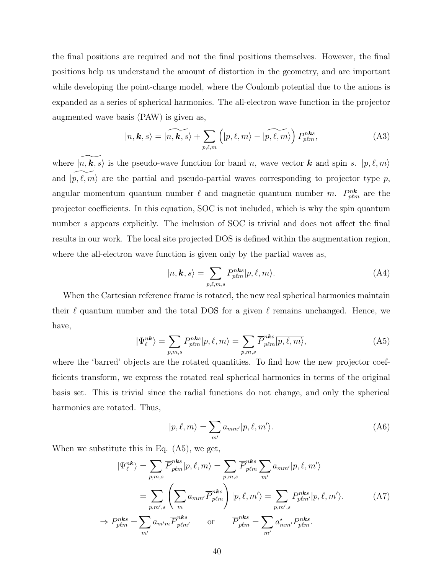the final positions are required and not the final positions themselves. However, the final positions help us understand the amount of distortion in the geometry, and are important while developing the point-charge model, where the Coulomb potential due to the anions is expanded as a series of spherical harmonics. The all-electron wave function in the projector augmented wave basis (PAW) is given as,

$$
|n, \mathbf{k}, s\rangle = |\widetilde{n, \mathbf{k}, s}\rangle + \sum_{p, \ell, m} \left( |p, \ell, m\rangle - |\widetilde{p, \ell, m}\rangle \right) P_{p\ell m}^{n\mathbf{k}s}, \tag{A3}
$$

where  $|n,\vec{k}, s\rangle$  is the pseudo-wave function for band n, wave vector k and spin s.  $|p, \ell, m\rangle$ and  $|p, \ell, m \rangle$  are the partial and pseudo-partial waves corresponding to projector type p, angular momentum quantum number  $\ell$  and magnetic quantum number m.  $P_{p\ell m}^{nk}$  are the projector coefficients. In this equation, SOC is not included, which is why the spin quantum number s appears explicitly. The inclusion of SOC is trivial and does not affect the final results in our work. The local site projected DOS is defined within the augmentation region, where the all-electron wave function is given only by the partial waves as,

$$
|n, \mathbf{k}, s\rangle = \sum_{p, \ell, m, s} P_{p\ell m}^{n\mathbf{k}s} |p, \ell, m\rangle.
$$
 (A4)

When the Cartesian reference frame is rotated, the new real spherical harmonics maintain their  $\ell$  quantum number and the total DOS for a given  $\ell$  remains unchanged. Hence, we have,

$$
|\Psi_{\ell}^{n\mathbf{k}}\rangle = \sum_{p,m,s} P_{p\ell m}^{n\mathbf{k}s} |p,\ell,m\rangle = \sum_{p,m,s} \overline{P}_{p\ell m}^{n\mathbf{k}s} |p,\ell,m\rangle,\tag{A5}
$$

where the 'barred' objects are the rotated quantities. To find how the new projector coefficients transform, we express the rotated real spherical harmonics in terms of the original basis set. This is trivial since the radial functions do not change, and only the spherical harmonics are rotated. Thus,

$$
\overline{|p,\ell,m\rangle} = \sum_{m'} a_{mm'} |p,\ell,m'\rangle.
$$
 (A6)

When we substitute this in Eq. (A5), we get,

$$
|\Psi_{\ell}^{nk}\rangle = \sum_{p,m,s} \overline{P}_{p\ell m}^{nks}|\overline{p,\ell,m}\rangle = \sum_{p,m,s} \overline{P}_{p\ell m}^{nks} \sum_{m'} a_{mm'}|p,\ell,m'\rangle
$$
  

$$
= \sum_{p,m',s} \left( \sum_{m} a_{mm'} \overline{P}_{p\ell m}^{nks} \right) |p,\ell,m'\rangle = \sum_{p,m',s} P_{p\ell m'}^{nks} |p,\ell,m'\rangle.
$$
 (A7)  

$$
\Rightarrow P_{p\ell m}^{nks} = \sum_{m'} a_{m'm} \overline{P}_{p\ell m'}^{nks} \quad \text{or} \quad \overline{P}_{p\ell m}^{nks} = \sum_{m'} a_{mm'}^{\star} P_{p\ell m}^{nks}.
$$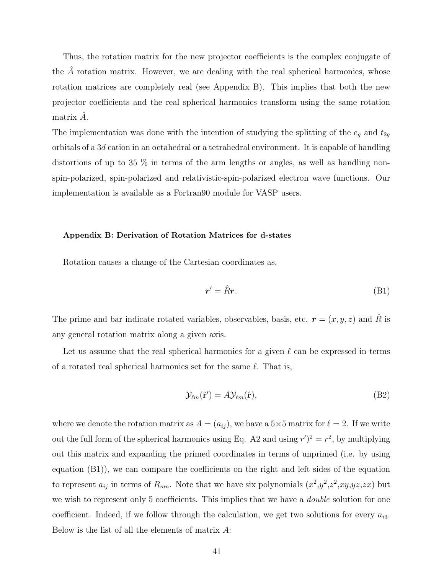Thus, the rotation matrix for the new projector coefficients is the complex conjugate of the  $A$  rotation matrix. However, we are dealing with the real spherical harmonics, whose rotation matrices are completely real (see Appendix B). This implies that both the new projector coefficients and the real spherical harmonics transform using the same rotation matrix  $\ddot{A}$ .

The implementation was done with the intention of studying the splitting of the  $e_g$  and  $t_{2g}$ orbitals of a 3d cation in an octahedral or a tetrahedral environment. It is capable of handling distortions of up to 35 % in terms of the arm lengths or angles, as well as handling nonspin-polarized, spin-polarized and relativistic-spin-polarized electron wave functions. Our implementation is available as a Fortran90 module for VASP users.

### Appendix B: Derivation of Rotation Matrices for d-states

Rotation causes a change of the Cartesian coordinates as,

$$
r' = \hat{R}r. \tag{B1}
$$

The prime and bar indicate rotated variables, observables, basis, etc.  $\mathbf{r} = (x, y, z)$  and  $\hat{R}$  is any general rotation matrix along a given axis.

Let us assume that the real spherical harmonics for a given  $\ell$  can be expressed in terms of a rotated real spherical harmonics set for the same  $\ell$ . That is,

$$
\mathcal{Y}_{\ell m}(\hat{\mathbf{r}}') = A \mathcal{Y}_{\ell m}(\hat{\mathbf{r}}),\tag{B2}
$$

where we denote the rotation matrix as  $A = (a_{ij})$ , we have a 5×5 matrix for  $\ell = 2$ . If we write out the full form of the spherical harmonics using Eq. A2 and using  $r'^2 = r^2$ , by multiplying out this matrix and expanding the primed coordinates in terms of unprimed (i.e. by using equation (B1)), we can compare the coefficients on the right and left sides of the equation to represent  $a_{ij}$  in terms of  $R_{mn}$ . Note that we have six polynomials  $(x^2,y^2,z^2,xy,yz,zx)$  but we wish to represent only 5 coefficients. This implies that we have a *double* solution for one coefficient. Indeed, if we follow through the calculation, we get two solutions for every  $a_{i3}$ . Below is the list of all the elements of matrix A: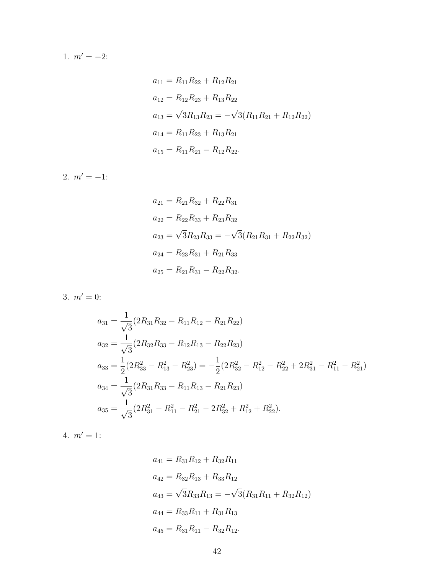1.  $m' = -2$ :

$$
a_{11} = R_{11}R_{22} + R_{12}R_{21}
$$
  
\n
$$
a_{12} = R_{12}R_{23} + R_{13}R_{22}
$$
  
\n
$$
a_{13} = \sqrt{3}R_{13}R_{23} = -\sqrt{3}(R_{11}R_{21} + R_{12}R_{22})
$$
  
\n
$$
a_{14} = R_{11}R_{23} + R_{13}R_{21}
$$
  
\n
$$
a_{15} = R_{11}R_{21} - R_{12}R_{22}.
$$

2.  $m' = -1$ :

$$
a_{21} = R_{21}R_{32} + R_{22}R_{31}
$$
  
\n
$$
a_{22} = R_{22}R_{33} + R_{23}R_{32}
$$
  
\n
$$
a_{23} = \sqrt{3}R_{23}R_{33} = -\sqrt{3}(R_{21}R_{31} + R_{22}R_{32})
$$
  
\n
$$
a_{24} = R_{23}R_{31} + R_{21}R_{33}
$$
  
\n
$$
a_{25} = R_{21}R_{31} - R_{22}R_{32}.
$$

3.  $m' = 0$ :

$$
a_{31} = \frac{1}{\sqrt{3}} (2R_{31}R_{32} - R_{11}R_{12} - R_{21}R_{22})
$$
  
\n
$$
a_{32} = \frac{1}{\sqrt{3}} (2R_{32}R_{33} - R_{12}R_{13} - R_{22}R_{23})
$$
  
\n
$$
a_{33} = \frac{1}{2} (2R_{33}^2 - R_{13}^2 - R_{23}^2) = -\frac{1}{2} (2R_{32}^2 - R_{12}^2 - R_{22}^2 + 2R_{31}^2 - R_{11}^2 - R_{21}^2)
$$
  
\n
$$
a_{34} = \frac{1}{\sqrt{3}} (2R_{31}R_{33} - R_{11}R_{13} - R_{21}R_{23})
$$
  
\n
$$
a_{35} = \frac{1}{\sqrt{3}} (2R_{31}^2 - R_{11}^2 - R_{21}^2 - 2R_{32}^2 + R_{12}^2 + R_{22}^2).
$$

4.  $m' = 1$ :

$$
a_{41} = R_{31}R_{12} + R_{32}R_{11}
$$
  
\n
$$
a_{42} = R_{32}R_{13} + R_{33}R_{12}
$$
  
\n
$$
a_{43} = \sqrt{3}R_{33}R_{13} = -\sqrt{3}(R_{31}R_{11} + R_{32}R_{12})
$$
  
\n
$$
a_{44} = R_{33}R_{11} + R_{31}R_{13}
$$
  
\n
$$
a_{45} = R_{31}R_{11} - R_{32}R_{12}.
$$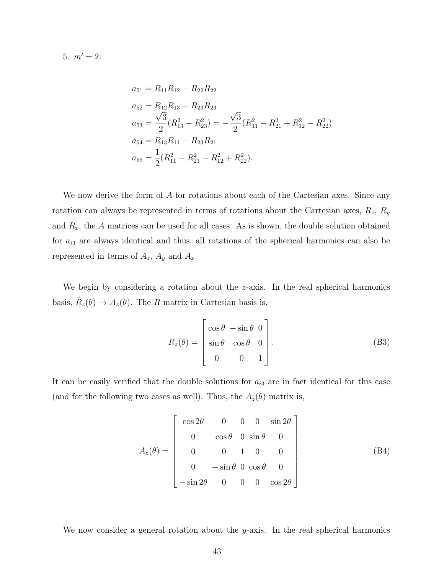5.  $m' = 2$ :

$$
a_{51} = R_{11}R_{12} - R_{22}R_{22}
$$
  
\n
$$
a_{52} = R_{12}R_{13} - R_{23}R_{23}
$$
  
\n
$$
a_{53} = \frac{\sqrt{3}}{2}(R_{13}^2 - R_{23}^2) = -\frac{\sqrt{3}}{2}(R_{11}^2 - R_{21}^2 + R_{12}^2 - R_{22}^2)
$$
  
\n
$$
a_{54} = R_{13}R_{11} - R_{23}R_{21}
$$
  
\n
$$
a_{55} = \frac{1}{2}(R_{11}^2 - R_{21}^2 - R_{12}^2 + R_{22}^2).
$$

We now derive the form of A for rotations about each of the Cartesian axes. Since any rotation can always be represented in terms of rotations about the Cartesian axes,  $R_z$ ,  $R_y$ and  $R_x$ , the A matrices can be used for all cases. As is shown, the double solution obtained for  $a_{i3}$  are always identical and thus, all rotations of the spherical harmonics can also be represented in terms of  $A_z$ ,  $A_y$  and  $A_x$ .

We begin by considering a rotation about the z-axis. In the real spherical harmonics basis,  $\hat{R}_z(\theta) \to A_z(\theta)$ . The R matrix in Cartesian basis is,

$$
R_z(\theta) = \begin{bmatrix} \cos \theta & -\sin \theta & 0 \\ \sin \theta & \cos \theta & 0 \\ 0 & 0 & 1 \end{bmatrix}.
$$
 (B3)

It can be easily verified that the double solutions for  $a_{i3}$  are in fact identical for this case (and for the following two cases as well). Thus, the  $A_z(\theta)$  matrix is,

$$
A_z(\theta) = \begin{bmatrix} \cos 2\theta & 0 & 0 & 0 & \sin 2\theta \\ 0 & \cos \theta & 0 & \sin \theta & 0 \\ 0 & 0 & 1 & 0 & 0 \\ 0 & -\sin \theta & 0 & \cos \theta & 0 \\ -\sin 2\theta & 0 & 0 & 0 & \cos 2\theta \end{bmatrix}.
$$
 (B4)

We now consider a general rotation about the  $y$ -axis. In the real spherical harmonics